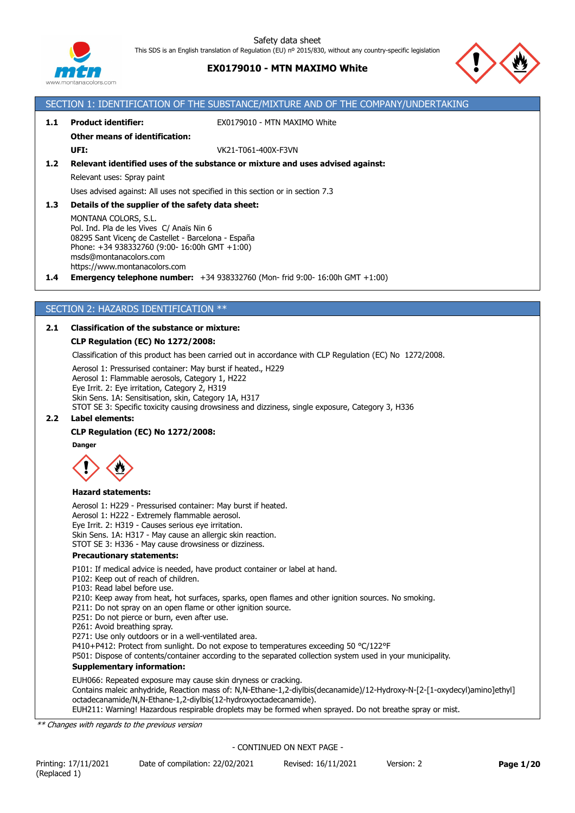

# **EX0179010 - MTN MAXIMO White**

SECTION 1: IDENTIFICATION OF THE SUBSTANCE/MIXTURE AND OF THE COMPANY/UNDERTAKING



# **1.1 Product identifier:** EX0179010 - MTN MAXIMO White **Other means of identification: UFI:** VK21-T061-400X-F3VN **1.2 Relevant identified uses of the substance or mixture and uses advised against:** Relevant uses: Spray paint Uses advised against: All uses not specified in this section or in section 7.3 **1.3 Details of the supplier of the safety data sheet:** MONTANA COLORS, S.L. Pol. Ind. Pla de les Vives C/ Anaïs Nin 6 08295 Sant Vicenç de Castellet - Barcelona - España Phone: +34 938332760 (9:00- 16:00h GMT +1:00) msds@montanacolors.com https://www.montanacolors.com **1.4 Emergency telephone number:** +34 938332760 (Mon- frid 9:00- 16:00h GMT +1:00) SECTION 2: HAZARDS IDENTIFICATION \*\* **2.1 Classification of the substance or mixture: CLP Regulation (EC) No 1272/2008:** Classification of this product has been carried out in accordance with CLP Regulation (EC) No 1272/2008. Aerosol 1: Pressurised container: May burst if heated., H229 Aerosol 1: Flammable aerosols, Category 1, H222 Eye Irrit. 2: Eye irritation, Category 2, H319 Skin Sens. 1A: Sensitisation, skin, Category 1A, H317 STOT SE 3: Specific toxicity causing drowsiness and dizziness, single exposure, Category 3, H336 **2.2 Label elements: CLP Regulation (EC) No 1272/2008: Danger Hazard statements:** Aerosol 1: H229 - Pressurised container: May burst if heated. Aerosol 1: H222 - Extremely flammable aerosol. Eye Irrit. 2: H319 - Causes serious eye irritation. Skin Sens. 1A: H317 - May cause an allergic skin reaction. STOT SE 3: H336 - May cause drowsiness or dizziness. **Precautionary statements:** P101: If medical advice is needed, have product container or label at hand. P102: Keep out of reach of children. P103: Read label before use. P210: Keep away from heat, hot surfaces, sparks, open flames and other ignition sources. No smoking. P211: Do not spray on an open flame or other ignition source. P251: Do not pierce or burn, even after use. P261: Avoid breathing spray. P271: Use only outdoors or in a well-ventilated area. P410+P412: Protect from sunlight. Do not expose to temperatures exceeding 50 °C/122°F P501: Dispose of contents/container according to the separated collection system used in your municipality. **Supplementary information:** EUH066: Repeated exposure may cause skin dryness or cracking. Contains maleic anhydride, Reaction mass of: N,N-Ethane-1,2-diylbis(decanamide)/12-Hydroxy-N-[2-[1-oxydecyl)amino]ethyl] octadecanamide/N,N-Ethane-1,2-diylbis(12-hydroxyoctadecanamide). EUH211: Warning! Hazardous respirable droplets may be formed when sprayed. Do not breathe spray or mist. *\*\* Changes with regards to the previous version* - CONTINUED ON NEXT PAGE -

Printing: 17/11/2021 Date of compilation: 22/02/2021 Revised: 16/11/2021 Version: 2 **Page 1/20** (Replaced 1)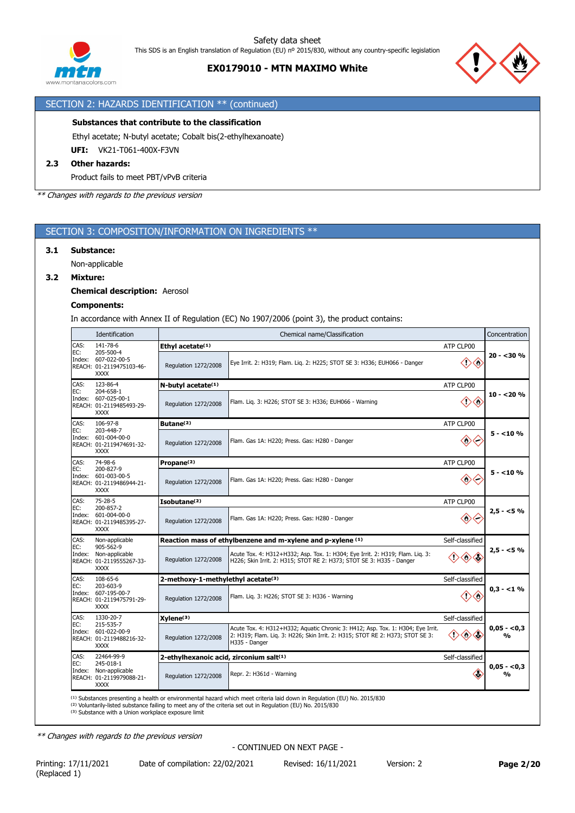



# SECTION 2: HAZARDS IDENTIFICATION \*\* (continued)

#### **Substances that contribute to the classification**

Ethyl acetate; N-butyl acetate; Cobalt bis(2-ethylhexanoate)

**UFI:** VK21-T061-400X-F3VN

# **2.3 Other hazards:**

Product fails to meet PBT/vPvB criteria

*\*\* Changes with regards to the previous version*

# SECTION 3: COMPOSITION/INFORMATION ON INGREDIENTS \*\*

#### **3.1 Substance:**

Non-applicable

### **3.2 Mixture:**

### **Chemical description:** Aerosol

#### **Components:**

In accordance with Annex II of Regulation (EC) No 1907/2006 (point 3), the product contains:

|               | Identification                                                                         | Chemical name/Classification            |                                                                                                                                                                                   |                        |                   |  |  |
|---------------|----------------------------------------------------------------------------------------|-----------------------------------------|-----------------------------------------------------------------------------------------------------------------------------------------------------------------------------------|------------------------|-------------------|--|--|
| CAS:          | 141-78-6                                                                               | Ethyl acetate <sup>(1)</sup>            |                                                                                                                                                                                   | ATP CLP00              |                   |  |  |
| EC:           | 205-500-4<br>Index: 607-022-00-5<br>REACH: 01-2119475103-46-<br><b>XXXX</b>            | Regulation 1272/2008                    | Eye Irrit. 2: H319; Flam. Lig. 2: H225; STOT SE 3: H336; EUH066 - Danger                                                                                                          | $\langle$ ')           | $20 - 30%$        |  |  |
| CAS:<br>EC:   | 123-86-4                                                                               | N-butyl acetate <sup>(1)</sup>          |                                                                                                                                                                                   | ATP CLP00              |                   |  |  |
|               | 204-658-1<br>Index: 607-025-00-1<br>REACH: 01-2119485493-29-<br><b>XXXX</b>            | Regulation 1272/2008                    | Flam. Liq. 3: H226; STOT SE 3: H336; EUH066 - Warning                                                                                                                             | $\diamondsuit$<br>◇    | $10 - 20%$        |  |  |
| CAS:          | 106-97-8                                                                               | Butane <sup>(2)</sup>                   |                                                                                                                                                                                   | ATP CLP00              |                   |  |  |
| EC:           | 203-448-7<br>Index: 601-004-00-0<br>REACH: 01-2119474691-32-<br><b>XXXX</b>            | Regulation 1272/2008                    | Flam. Gas 1A: H220; Press. Gas: H280 - Danger                                                                                                                                     | $\langle \rangle$<br>← | $5 - 10%$         |  |  |
| CAS:          | 74-98-6                                                                                | Propane <sup>(2)</sup>                  |                                                                                                                                                                                   | ATP CLP00              |                   |  |  |
| EC:           | 200-827-9<br>Index: 601-003-00-5<br>REACH: 01-2119486944-21-<br><b>XXXX</b>            | Regulation 1272/2008                    | Flam. Gas 1A: H220; Press. Gas: H280 - Danger                                                                                                                                     | $\diamondsuit$         | $5 - 10%$         |  |  |
| CAS:          | 75-28-5<br>200-857-2<br>Index: 601-004-00-0<br>REACH: 01-2119485395-27-<br><b>XXXX</b> | Isobutane <sup>(2)</sup><br>ATP CLP00   |                                                                                                                                                                                   |                        |                   |  |  |
| EC:           |                                                                                        | Regulation 1272/2008                    | Flam. Gas 1A: H220; Press. Gas: H280 - Danger                                                                                                                                     | $\diamondsuit$         | $2,5 - 5%$        |  |  |
| CAS:          | Non-applicable                                                                         |                                         | Reaction mass of ethylbenzene and m-xylene and p-xylene (1)                                                                                                                       | Self-classified        |                   |  |  |
| EC:<br>Index: | 905-562-9<br>Non-applicable<br>REACH: 01-2119555267-33-<br><b>XXXX</b>                 | Regulation 1272/2008                    | Acute Tox. 4: H312+H332; Asp. Tox. 1: H304; Eye Irrit. 2: H319; Flam. Liq. 3:<br>H226; Skin Irrit. 2: H315; STOT RE 2: H373; STOT SE 3: H335 - Danger                             | $\diamondsuit$         | $2,5 - 5%$        |  |  |
| CAS:          | 108-65-6<br>203-603-9                                                                  | 2-methoxy-1-methylethyl acetate(3)      |                                                                                                                                                                                   | Self-classified        |                   |  |  |
| EC:           | Index: 607-195-00-7<br>REACH: 01-2119475791-29-<br><b>XXXX</b>                         | Regulation 1272/2008                    | Flam. Lig. 3: H226; STOT SE 3: H336 - Warning                                                                                                                                     | $\diamondsuit$         | $0.3 - 1\%$       |  |  |
| CAS:          | 1330-20-7                                                                              | Xylene <sup>(3)</sup>                   |                                                                                                                                                                                   | Self-classified        |                   |  |  |
| EC:           | 215-535-7<br>Index: 601-022-00-9<br>REACH: 01-2119488216-32-<br><b>XXXX</b>            | Regulation 1272/2008                    | Acute Tox. 4: H312+H332; Aquatic Chronic 3: H412; Asp. Tox. 1: H304; Eye Irrit.<br>2: H319; Flam. Lig. 3: H226; Skin Irrit. 2: H315; STOT RE 2: H373; STOT SE 3:<br>H335 - Danger | $\langle \rangle$      | $0,05 - 0,3$<br>% |  |  |
| CAS:          | 22464-99-9                                                                             | 2-ethylhexanoic acid, zirconium salt(1) |                                                                                                                                                                                   | Self-classified        |                   |  |  |
| EC:           | 245-018-1<br>Index: Non-applicable<br>REACH: 01-2119979088-21-<br><b>XXXX</b>          | Regulation 1272/2008                    | Repr. 2: H361d - Warning                                                                                                                                                          | Œ                      | $0,05 - 0,3$<br>% |  |  |
|               |                                                                                        |                                         | <sup>(1)</sup> Substances presenting a health or environmental hazard which meet criteria laid down in Regulation (EU) No. 2015/830                                               |                        |                   |  |  |

(1) Substances presenting a health or environmental hazard which meet criteria laid down in Regulation (EU) No. 2015/830<br>(2) Voluntarily-listed substance failing to meet any of the criteria set out in Regulation (EU) No. 2

*\*\* Changes with regards to the previous version*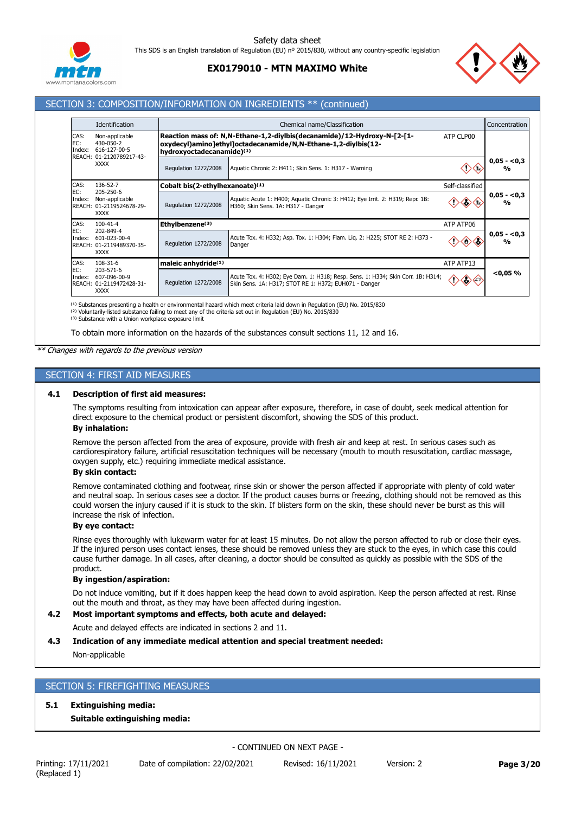

# **EX0179010 - MTN MAXIMO White**



# SECTION 3: COMPOSITION/INFORMATION ON INGREDIENTS \*\* (continued)

|                                                                              | Identification                                                |                                                                                                                                                                                      | Chemical name/Classification                                                                                                             |                 |                               |  |  |  |
|------------------------------------------------------------------------------|---------------------------------------------------------------|--------------------------------------------------------------------------------------------------------------------------------------------------------------------------------------|------------------------------------------------------------------------------------------------------------------------------------------|-----------------|-------------------------------|--|--|--|
| CAS:<br>EC:<br>Index:                                                        | Non-applicable<br>430-050-2<br>616-127-00-5                   | Reaction mass of: N,N-Ethane-1,2-diylbis(decanamide)/12-Hydroxy-N-[2-[1-<br>ATP CLP00<br>oxydecyl)amino]ethyl]octadecanamide/N,N-Ethane-1,2-diylbis(12-<br>hydroxyoctadecanamide)(1) |                                                                                                                                          |                 |                               |  |  |  |
| <b>REACH:</b>                                                                | 01-2120789217-43-<br><b>XXXX</b>                              | Regulation 1272/2008                                                                                                                                                                 | Aquatic Chronic 2: H411; Skin Sens. 1: H317 - Warning                                                                                    |                 | $0,05 - 0,3$<br>$\frac{0}{0}$ |  |  |  |
| CAS:                                                                         | 136-52-7                                                      | Cobalt bis(2-ethylhexanoate)(1)                                                                                                                                                      |                                                                                                                                          | Self-classified |                               |  |  |  |
| EC:<br>205-250-6<br>Index:<br>Non-applicable<br><b>REACH:</b><br><b>XXXX</b> | 01-2119524678-29-                                             | Regulation 1272/2008                                                                                                                                                                 | Aquatic Acute 1: H400; Aquatic Chronic 3: H412; Eye Irrit. 2: H319; Repr. 1B:<br>H360; Skin Sens. 1A: H317 - Danger                      |                 | $0,05 - 0,3$<br>%             |  |  |  |
| CAS:                                                                         | $100 - 41 - 4$                                                | Ethylbenzene <sup>(3)</sup><br>ATP ATP06                                                                                                                                             |                                                                                                                                          |                 |                               |  |  |  |
| EC:<br>Index:<br><b>REACH:</b>                                               | 202-849-4<br>601-023-00-4<br>01-2119489370-35-<br><b>XXXX</b> | Regulation 1272/2008                                                                                                                                                                 | Acute Tox. 4: H332; Asp. Tox. 1: H304; Flam. Lig. 2: H225; STOT RE 2: H373 -<br>Danger                                                   |                 | $0,05 - 0,3$<br>$\frac{0}{0}$ |  |  |  |
| CAS:<br>108-31-6                                                             |                                                               | maleic anhydride <sup>(1)</sup>                                                                                                                                                      |                                                                                                                                          | ATP ATP13       |                               |  |  |  |
| EC:<br>Index:<br><b>REACH:</b>                                               | 203-571-6<br>607-096-00-9<br>01-2119472428-31-<br><b>XXXX</b> | Regulation 1272/2008                                                                                                                                                                 | Acute Tox. 4: H302; Eye Dam. 1: H318; Resp. Sens. 1: H334; Skin Corr. 1B: H314;<br>Skin Sens. 1A: H317; STOT RE 1: H372; EUH071 - Danger | $\diamondsuit$  | $<$ 0,05 %                    |  |  |  |

<sup>(1)</sup> Substances presenting a health or environmental hazard which meet criteria laid down in Regulation (EU) No. 2015/830<br><sup>(2)</sup> Voluntarily-listed substance failing to meet any of the criteria set out in Regulation (EU) N

(3) Substance with a Union workplace exposure limit

To obtain more information on the hazards of the substances consult sections 11, 12 and 16.

*\*\* Changes with regards to the previous version*

### SECTION 4: FIRST AID MEASURES

#### **4.1 Description of first aid measures:**

The symptoms resulting from intoxication can appear after exposure, therefore, in case of doubt, seek medical attention for direct exposure to the chemical product or persistent discomfort, showing the SDS of this product.

#### **By inhalation:**

Remove the person affected from the area of exposure, provide with fresh air and keep at rest. In serious cases such as cardiorespiratory failure, artificial resuscitation techniques will be necessary (mouth to mouth resuscitation, cardiac massage, oxygen supply, etc.) requiring immediate medical assistance.

## **By skin contact:**

Remove contaminated clothing and footwear, rinse skin or shower the person affected if appropriate with plenty of cold water and neutral soap. In serious cases see a doctor. If the product causes burns or freezing, clothing should not be removed as this could worsen the injury caused if it is stuck to the skin. If blisters form on the skin, these should never be burst as this will increase the risk of infection.

### **By eye contact:**

Rinse eyes thoroughly with lukewarm water for at least 15 minutes. Do not allow the person affected to rub or close their eyes. If the injured person uses contact lenses, these should be removed unless they are stuck to the eyes, in which case this could cause further damage. In all cases, after cleaning, a doctor should be consulted as quickly as possible with the SDS of the product.

#### **By ingestion/aspiration:**

Do not induce vomiting, but if it does happen keep the head down to avoid aspiration. Keep the person affected at rest. Rinse out the mouth and throat, as they may have been affected during ingestion.

# **4.2 Most important symptoms and effects, both acute and delayed:**

Acute and delayed effects are indicated in sections 2 and 11.

#### **4.3 Indication of any immediate medical attention and special treatment needed:**

Non-applicable

# SECTION 5: FIREFIGHTING MEASURES

### **5.1 Extinguishing media:**

#### **Suitable extinguishing media:**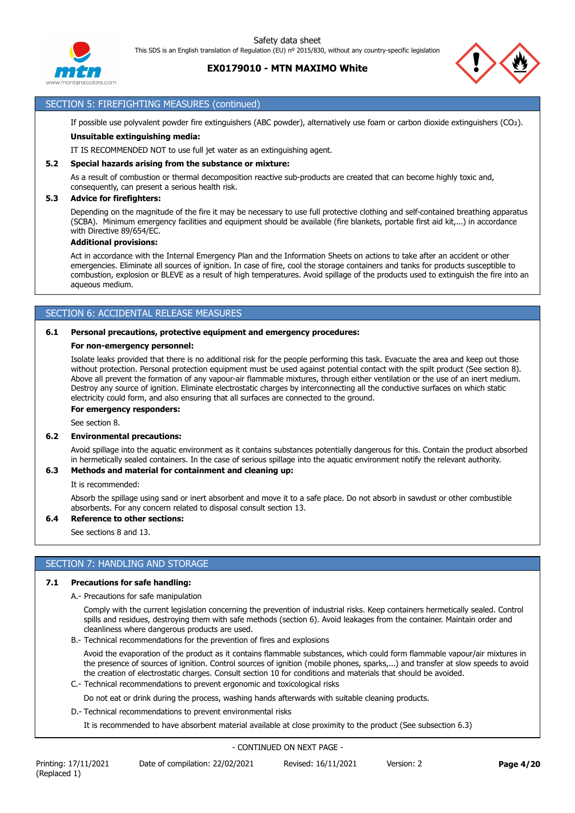**EX0179010 - MTN MAXIMO White**



# SECTION 5: FIREFIGHTING MEASURES (continued)

If possible use polyvalent powder fire extinguishers (ABC powder), alternatively use foam or carbon dioxide extinguishers (CO₂). **Unsuitable extinguishing media:**

IT IS RECOMMENDED NOT to use full jet water as an extinguishing agent.

#### **5.2 Special hazards arising from the substance or mixture:**

As a result of combustion or thermal decomposition reactive sub-products are created that can become highly toxic and, consequently, can present a serious health risk.

#### **5.3 Advice for firefighters:**

Depending on the magnitude of the fire it may be necessary to use full protective clothing and self-contained breathing apparatus (SCBA). Minimum emergency facilities and equipment should be available (fire blankets, portable first aid kit,...) in accordance with Directive 89/654/EC.

#### **Additional provisions:**

Act in accordance with the Internal Emergency Plan and the Information Sheets on actions to take after an accident or other emergencies. Eliminate all sources of ignition. In case of fire, cool the storage containers and tanks for products susceptible to combustion, explosion or BLEVE as a result of high temperatures. Avoid spillage of the products used to extinguish the fire into an aqueous medium.

### SECTION 6: ACCIDENTAL RELEASE MEASURES

#### **6.1 Personal precautions, protective equipment and emergency procedures:**

#### **For non-emergency personnel:**

Isolate leaks provided that there is no additional risk for the people performing this task. Evacuate the area and keep out those without protection. Personal protection equipment must be used against potential contact with the spilt product (See section 8). Above all prevent the formation of any vapour-air flammable mixtures, through either ventilation or the use of an inert medium. Destroy any source of ignition. Eliminate electrostatic charges by interconnecting all the conductive surfaces on which static electricity could form, and also ensuring that all surfaces are connected to the ground.

**For emergency responders:**

See section 8.

#### **6.2 Environmental precautions:**

Avoid spillage into the aquatic environment as it contains substances potentially dangerous for this. Contain the product absorbed in hermetically sealed containers. In the case of serious spillage into the aquatic environment notify the relevant authority.

#### **6.3 Methods and material for containment and cleaning up:**

It is recommended:

Absorb the spillage using sand or inert absorbent and move it to a safe place. Do not absorb in sawdust or other combustible absorbents. For any concern related to disposal consult section 13.

#### **6.4 Reference to other sections:**

See sections 8 and 13.

# SECTION 7: HANDLING AND STORAGE

#### **7.1 Precautions for safe handling:**

A.- Precautions for safe manipulation

Comply with the current legislation concerning the prevention of industrial risks. Keep containers hermetically sealed. Control spills and residues, destroying them with safe methods (section 6). Avoid leakages from the container. Maintain order and cleanliness where dangerous products are used.

B.- Technical recommendations for the prevention of fires and explosions

Avoid the evaporation of the product as it contains flammable substances, which could form flammable vapour/air mixtures in the presence of sources of ignition. Control sources of ignition (mobile phones, sparks,...) and transfer at slow speeds to avoid the creation of electrostatic charges. Consult section 10 for conditions and materials that should be avoided.

C.- Technical recommendations to prevent ergonomic and toxicological risks

Do not eat or drink during the process, washing hands afterwards with suitable cleaning products.

D.- Technical recommendations to prevent environmental risks

It is recommended to have absorbent material available at close proximity to the product (See subsection 6.3)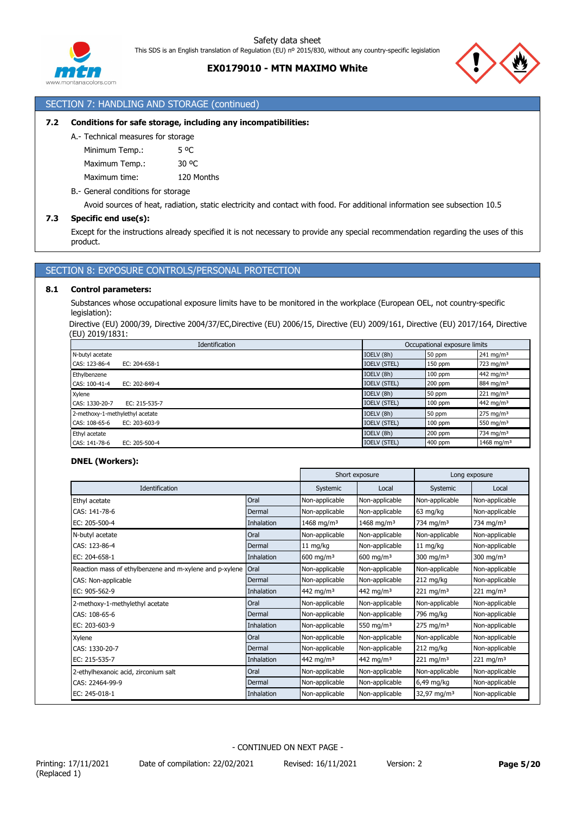



### SECTION 7: HANDLING AND STORAGE (continued)

### **7.2 Conditions for safe storage, including any incompatibilities:**

A.- Technical measures for storage

Minimum Temp.: 5 °C Maximum Temp.: 30 °C

Maximum time: 120 Months

#### B.- General conditions for storage

Avoid sources of heat, radiation, static electricity and contact with food. For additional information see subsection 10.5

#### **7.3 Specific end use(s):**

Except for the instructions already specified it is not necessary to provide any special recommendation regarding the uses of this product.

# SECTION 8: EXPOSURE CONTROLS/PERSONAL PROTECTION

#### **8.1 Control parameters:**

Substances whose occupational exposure limits have to be monitored in the workplace (European OEL, not country-specific legislation):

Directive (EU) 2000/39, Directive 2004/37/EC,Directive (EU) 2006/15, Directive (EU) 2009/161, Directive (EU) 2017/164, Directive (EU) 2019/1831:

|                                 | Identification      | Occupational exposure limits |           |                        |
|---------------------------------|---------------------|------------------------------|-----------|------------------------|
| N-butyl acetate                 |                     | IOELV (8h)                   | 50 ppm    | $241 \text{ mg/m}^3$   |
| CAS: 123-86-4                   | EC: 204-658-1       | <b>IOELV (STEL)</b>          | 150 ppm   | 723 mg/m $3$           |
| Ethylbenzene                    |                     | IOELV (8h)                   | $100$ ppm | 442 mg/m <sup>3</sup>  |
| CAS: 100-41-4                   | EC: 202-849-4       | <b>IOELV (STEL)</b>          | 200 ppm   | 884 mg/m <sup>3</sup>  |
| Xylene                          |                     | IOELV (8h)                   | 50 ppm    | 221 mg/m <sup>3</sup>  |
| CAS: 1330-20-7                  | EC: 215-535-7       | <b>IOELV (STEL)</b>          | $100$ ppm | 442 mg/m <sup>3</sup>  |
| 2-methoxy-1-methylethyl acetate |                     | IOELV (8h)                   | 50 ppm    | $275 \text{ mg/m}^3$   |
| CAS: 108-65-6                   | EC: $203 - 603 - 9$ | <b>IOELV (STEL)</b>          | $100$ ppm | 550 mg/m $3$           |
| Ethyl acetate                   |                     | IOELV (8h)                   | 200 ppm   | 734 mg/m $3$           |
| CAS: 141-78-6                   | EC: 205-500-4       | <b>IOELV (STEL)</b>          | 400 ppm   | 1468 mg/m <sup>3</sup> |

#### **DNEL (Workers):**

|                                                         |            |                        | Short exposure         |                         | Long exposure         |
|---------------------------------------------------------|------------|------------------------|------------------------|-------------------------|-----------------------|
| Identification                                          |            | Systemic               | Local                  | Systemic                | Local                 |
| Ethyl acetate                                           | Oral       | Non-applicable         | Non-applicable         | Non-applicable          | Non-applicable        |
| CAS: 141-78-6                                           | Dermal     | Non-applicable         | Non-applicable         | 63 mg/kg                | Non-applicable        |
| EC: 205-500-4                                           | Inhalation | 1468 mg/m <sup>3</sup> | 1468 mg/m <sup>3</sup> | 734 mg/m <sup>3</sup>   | 734 mg/m <sup>3</sup> |
| N-butyl acetate                                         | Oral       | Non-applicable         | Non-applicable         | Non-applicable          | Non-applicable        |
| CAS: 123-86-4                                           | Dermal     | $11 \text{ mg/kg}$     | Non-applicable         | $11 \text{ mg/kg}$      | Non-applicable        |
| EC: 204-658-1                                           | Inhalation | $600 \; \text{mg/m}^3$ | 600 mg/m $3$           | 300 mg/m $3$            | 300 mg/m $3$          |
| Reaction mass of ethylbenzene and m-xylene and p-xylene | Oral       | Non-applicable         | Non-applicable         | Non-applicable          | Non-applicable        |
| CAS: Non-applicable                                     | Dermal     | Non-applicable         | Non-applicable         | 212 mg/kg               | Non-applicable        |
| EC: 905-562-9                                           | Inhalation | 442 mg/m <sup>3</sup>  | 442 mg/m <sup>3</sup>  | $221 \,\mathrm{mg/m^3}$ | $221 \text{ mg/m}^3$  |
| 2-methoxy-1-methylethyl acetate                         | Oral       | Non-applicable         | Non-applicable         | Non-applicable          | Non-applicable        |
| CAS: 108-65-6                                           | Dermal     | Non-applicable         | Non-applicable         | 796 mg/kg               | Non-applicable        |
| EC: 203-603-9                                           | Inhalation | Non-applicable         | 550 mg/m $3$           | $275 \text{ mg/m}^3$    | Non-applicable        |
| Xylene                                                  | Oral       | Non-applicable         | Non-applicable         | Non-applicable          | Non-applicable        |
| CAS: 1330-20-7                                          | Dermal     | Non-applicable         | Non-applicable         | $212$ mg/kg             | Non-applicable        |
| EC: 215-535-7                                           | Inhalation | 442 mg/m <sup>3</sup>  | 442 mg/m <sup>3</sup>  | $221 \text{ mg/m}^3$    | $221 \text{ mg/m}^3$  |
| 2-ethylhexanoic acid, zirconium salt                    | Oral       | Non-applicable         | Non-applicable         | Non-applicable          | Non-applicable        |
| CAS: 22464-99-9                                         | Dermal     | Non-applicable         | Non-applicable         | $6,49$ mg/kg            | Non-applicable        |
| EC: 245-018-1                                           | Inhalation | Non-applicable         | Non-applicable         | 32,97 mg/m <sup>3</sup> | Non-applicable        |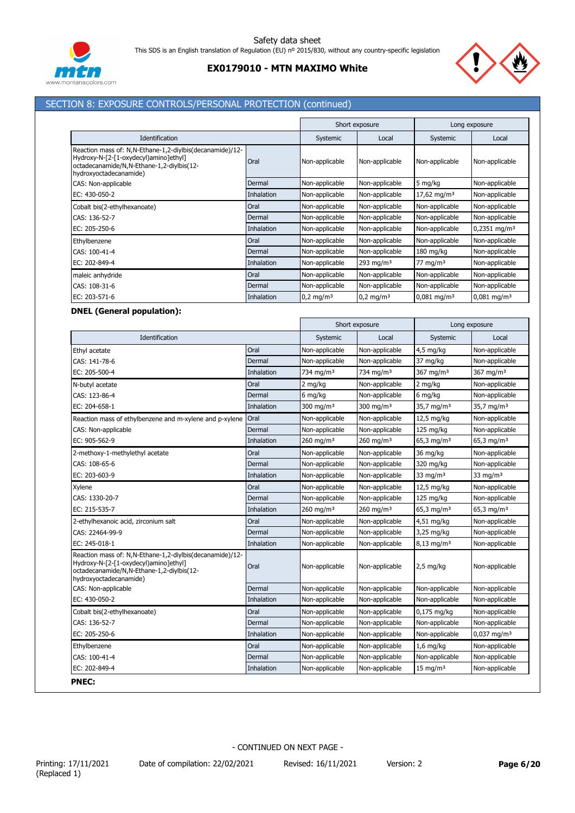



# SECTION 8: EXPOSURE CONTROLS/PERSONAL PROTECTION (continued)

|                                                                                                                                                                          |                   |                         | Short exposure       |                           | Long exposure              |
|--------------------------------------------------------------------------------------------------------------------------------------------------------------------------|-------------------|-------------------------|----------------------|---------------------------|----------------------------|
| Identification                                                                                                                                                           |                   | Systemic                | Local                | Systemic                  | Local                      |
| Reaction mass of: N,N-Ethane-1,2-diylbis(decanamide)/12-<br>Hydroxy-N-[2-[1-oxydecyl)amino]ethyl]<br>octadecanamide/N,N-Ethane-1,2-diylbis(12-<br>hydroxyoctadecanamide) | Oral              | Non-applicable          | Non-applicable       | Non-applicable            | Non-applicable             |
| CAS: Non-applicable                                                                                                                                                      | Dermal            | Non-applicable          | Non-applicable       | 5 mg/kg                   | Non-applicable             |
| EC: 430-050-2                                                                                                                                                            | Inhalation        | Non-applicable          | Non-applicable       | 17,62 mg/m <sup>3</sup>   | Non-applicable             |
| Cobalt bis(2-ethylhexanoate)                                                                                                                                             | Oral              | Non-applicable          | Non-applicable       | Non-applicable            | Non-applicable             |
| CAS: 136-52-7                                                                                                                                                            | Dermal            | Non-applicable          | Non-applicable       | Non-applicable            | Non-applicable             |
| EC: 205-250-6                                                                                                                                                            | Inhalation        | Non-applicable          | Non-applicable       | Non-applicable            | $0,2351$ mg/m <sup>3</sup> |
| Ethylbenzene                                                                                                                                                             | Oral              | Non-applicable          | Non-applicable       | Non-applicable            | Non-applicable             |
| CAS: 100-41-4                                                                                                                                                            | Dermal            | Non-applicable          | Non-applicable       | $180 \text{ mg/kg}$       | Non-applicable             |
| EC: 202-849-4                                                                                                                                                            | <b>Inhalation</b> | Non-applicable          | 293 mg/m $3$         | 77 mg/m $3$               | Non-applicable             |
| maleic anhydride                                                                                                                                                         | Oral              | Non-applicable          | Non-applicable       | Non-applicable            | Non-applicable             |
| CAS: 108-31-6                                                                                                                                                            | Dermal            | Non-applicable          | Non-applicable       | Non-applicable            | Non-applicable             |
| EC: 203-571-6                                                                                                                                                            | Inhalation        | $0,2$ mg/m <sup>3</sup> | $0.2 \text{ mg/m}^3$ | $0.081$ mg/m <sup>3</sup> | $0.081$ mg/m <sup>3</sup>  |

### **DNEL (General population):**

|                                                                                                                                                                          |            | Short exposure          |                         | Long exposure            |                        |
|--------------------------------------------------------------------------------------------------------------------------------------------------------------------------|------------|-------------------------|-------------------------|--------------------------|------------------------|
| Identification                                                                                                                                                           |            | Systemic                | Local                   | Systemic                 | Local                  |
| Ethyl acetate                                                                                                                                                            | Oral       | Non-applicable          | Non-applicable          | 4,5 mg/kg                | Non-applicable         |
| CAS: 141-78-6                                                                                                                                                            | Dermal     | Non-applicable          | Non-applicable          | 37 mg/kg                 | Non-applicable         |
| EC: 205-500-4                                                                                                                                                            | Inhalation | 734 mg/m <sup>3</sup>   | 734 mg/m <sup>3</sup>   | 367 mg/m <sup>3</sup>    | 367 mg/m <sup>3</sup>  |
| N-butyl acetate                                                                                                                                                          | Oral       | 2 mg/kg                 | Non-applicable          | 2 mg/kg                  | Non-applicable         |
| CAS: 123-86-4                                                                                                                                                            | Dermal     | 6 mg/kg                 | Non-applicable          | 6 mg/kg                  | Non-applicable         |
| EC: 204-658-1                                                                                                                                                            | Inhalation | $300 \text{ ma/m}^3$    | $300 \text{ ma/m}^3$    | 35,7 mg/m <sup>3</sup>   | 35,7 mg/m <sup>3</sup> |
| Reaction mass of ethylbenzene and m-xylene and p-xylene                                                                                                                  | Oral       | Non-applicable          | Non-applicable          | 12,5 mg/kg               | Non-applicable         |
| CAS: Non-applicable                                                                                                                                                      | Dermal     | Non-applicable          | Non-applicable          | $125$ mg/kg              | Non-applicable         |
| EC: 905-562-9                                                                                                                                                            | Inhalation | $260$ mg/m <sup>3</sup> | $260$ mg/m <sup>3</sup> | 65,3 mg/m <sup>3</sup>   | 65,3 mg/m <sup>3</sup> |
| 2-methoxy-1-methylethyl acetate                                                                                                                                          | Oral       | Non-applicable          | Non-applicable          | 36 mg/kg                 | Non-applicable         |
| CAS: 108-65-6                                                                                                                                                            | Dermal     | Non-applicable          | Non-applicable          | 320 mg/kg                | Non-applicable         |
| EC: 203-603-9                                                                                                                                                            | Inhalation | Non-applicable          | Non-applicable          | 33 mg/m $3$              | 33 mg/m $3$            |
| Xylene                                                                                                                                                                   | Oral       | Non-applicable          | Non-applicable          | 12,5 mg/kg               | Non-applicable         |
| CAS: 1330-20-7                                                                                                                                                           | Dermal     | Non-applicable          | Non-applicable          | 125 mg/kg                | Non-applicable         |
| EC: 215-535-7                                                                                                                                                            | Inhalation | $260$ mg/m <sup>3</sup> | $260$ mg/m <sup>3</sup> | 65,3 mg/m <sup>3</sup>   | 65,3 mg/m <sup>3</sup> |
| 2-ethylhexanoic acid, zirconium salt                                                                                                                                     | Oral       | Non-applicable          | Non-applicable          | 4,51 mg/kg               | Non-applicable         |
| CAS: 22464-99-9                                                                                                                                                          | Dermal     | Non-applicable          | Non-applicable          | 3,25 mg/kg               | Non-applicable         |
| EC: 245-018-1                                                                                                                                                            | Inhalation | Non-applicable          | Non-applicable          | $8,13$ mg/m <sup>3</sup> | Non-applicable         |
| Reaction mass of: N,N-Ethane-1,2-diylbis(decanamide)/12-<br>Hydroxy-N-[2-[1-oxydecyl)amino]ethyl]<br>octadecanamide/N,N-Ethane-1,2-diylbis(12-<br>hydroxyoctadecanamide) | Oral       | Non-applicable          | Non-applicable          | $2,5$ mg/kg              | Non-applicable         |
| CAS: Non-applicable                                                                                                                                                      | Dermal     | Non-applicable          | Non-applicable          | Non-applicable           | Non-applicable         |
| EC: 430-050-2                                                                                                                                                            | Inhalation | Non-applicable          | Non-applicable          | Non-applicable           | Non-applicable         |
| Cobalt bis(2-ethylhexanoate)                                                                                                                                             | Oral       | Non-applicable          | Non-applicable          | 0,175 mg/kg              | Non-applicable         |
| CAS: 136-52-7                                                                                                                                                            | Dermal     | Non-applicable          | Non-applicable          | Non-applicable           | Non-applicable         |
| EC: 205-250-6                                                                                                                                                            | Inhalation | Non-applicable          | Non-applicable          | Non-applicable           | $0,037 \text{ mg/m}^3$ |
| Ethylbenzene                                                                                                                                                             | Oral       | Non-applicable          | Non-applicable          | $1,6$ mg/kg              | Non-applicable         |
| CAS: 100-41-4                                                                                                                                                            | Dermal     | Non-applicable          | Non-applicable          | Non-applicable           | Non-applicable         |
| EC: 202-849-4                                                                                                                                                            | Inhalation | Non-applicable          | Non-applicable          | $15 \text{ mg/m}^3$      | Non-applicable         |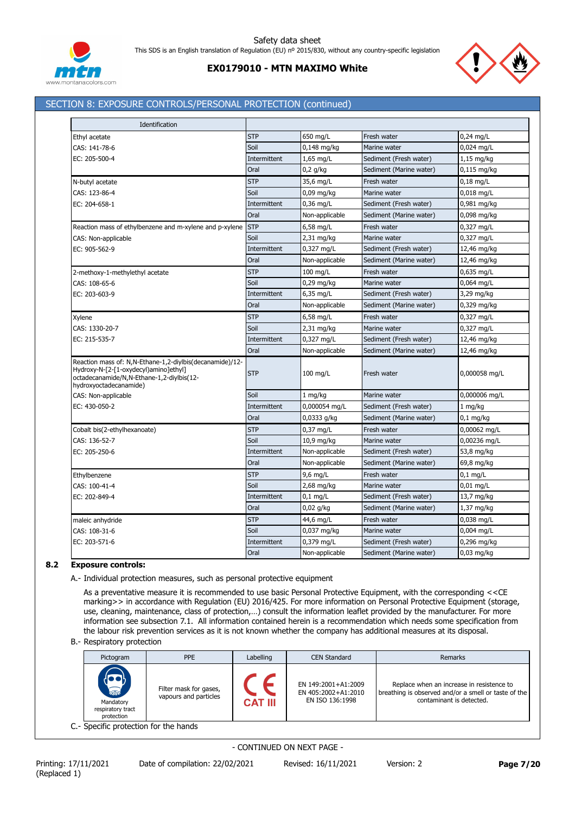

# SECTION 8: EXPOSURE CONTROLS/PERSONAL PROTECTION (continued)

| Identification                                                                                                                                                           |              |                |                         |                   |
|--------------------------------------------------------------------------------------------------------------------------------------------------------------------------|--------------|----------------|-------------------------|-------------------|
| Ethyl acetate                                                                                                                                                            | <b>STP</b>   | 650 mg/L       | Fresh water             | $0,24$ mg/L       |
| CAS: 141-78-6                                                                                                                                                            | Soil         | $0.148$ mg/kg  | Marine water            | 0,024 mg/L        |
| EC: 205-500-4                                                                                                                                                            | Intermittent | 1,65 mg/L      | Sediment (Fresh water)  | $1,15$ mg/kg      |
|                                                                                                                                                                          | Oral         | $0,2$ g/kg     | Sediment (Marine water) | $0,115$ mg/kg     |
| N-butyl acetate                                                                                                                                                          | <b>STP</b>   | 35,6 mg/L      | Fresh water             | $0,18$ mg/L       |
| CAS: 123-86-4                                                                                                                                                            | Soil         | $0,09$ mg/kg   | Marine water            | $0,018$ mg/L      |
| EC: 204-658-1                                                                                                                                                            | Intermittent | $0,36$ mg/L    | Sediment (Fresh water)  | 0,981 mg/kg       |
|                                                                                                                                                                          | Oral         | Non-applicable | Sediment (Marine water) | 0,098 mg/kg       |
| Reaction mass of ethylbenzene and m-xylene and p-xylene                                                                                                                  | <b>STP</b>   | 6,58 mg/L      | Fresh water             | 0,327 mg/L        |
| CAS: Non-applicable                                                                                                                                                      | Soil         | $2,31$ mg/kg   | Marine water            | 0,327 mg/L        |
| EC: 905-562-9                                                                                                                                                            | Intermittent | 0,327 mg/L     | Sediment (Fresh water)  | 12,46 mg/kg       |
|                                                                                                                                                                          | Oral         | Non-applicable | Sediment (Marine water) | 12,46 mg/kg       |
| 2-methoxy-1-methylethyl acetate                                                                                                                                          | <b>STP</b>   | 100 mg/L       | Fresh water             | 0,635 mg/L        |
| CAS: 108-65-6                                                                                                                                                            | Soil         | $0,29$ mg/kg   | Marine water            | 0,064 mg/L        |
| EC: 203-603-9                                                                                                                                                            | Intermittent | 6,35 mg/L      | Sediment (Fresh water)  | 3,29 mg/kg        |
|                                                                                                                                                                          | Oral         | Non-applicable | Sediment (Marine water) | 0,329 mg/kg       |
| Xylene                                                                                                                                                                   | <b>STP</b>   | 6,58 mg/L      | Fresh water             | 0,327 mg/L        |
| CAS: 1330-20-7                                                                                                                                                           | Soil         | $2,31$ mg/kg   | Marine water            | $0,327$ mg/L      |
| EC: 215-535-7                                                                                                                                                            | Intermittent | 0,327 mg/L     | Sediment (Fresh water)  | 12,46 mg/kg       |
|                                                                                                                                                                          | Oral         | Non-applicable | Sediment (Marine water) | 12,46 mg/kg       |
| Reaction mass of: N,N-Ethane-1,2-diylbis(decanamide)/12-<br>Hydroxy-N-[2-[1-oxydecyl)amino]ethyl]<br>octadecanamide/N,N-Ethane-1,2-diylbis(12-<br>hydroxyoctadecanamide) | <b>STP</b>   | 100 mg/L       | Fresh water             | 0,000058 mg/L     |
| CAS: Non-applicable                                                                                                                                                      | Soil         | 1 mg/kg        | Marine water            | 0,000006 mg/L     |
| EC: 430-050-2                                                                                                                                                            | Intermittent | 0,000054 mg/L  | Sediment (Fresh water)  | $1 \text{ mg/kg}$ |
|                                                                                                                                                                          | Oral         | $0,0333$ g/kg  | Sediment (Marine water) | $0,1$ mg/kg       |
| Cobalt bis(2-ethylhexanoate)                                                                                                                                             | <b>STP</b>   | 0,37 mg/L      | Fresh water             | 0,00062 mg/L      |
| CAS: 136-52-7                                                                                                                                                            | Soil         | 10,9 mg/kg     | Marine water            | 0,00236 mg/L      |
| EC: 205-250-6                                                                                                                                                            | Intermittent | Non-applicable | Sediment (Fresh water)  | 53,8 mg/kg        |
|                                                                                                                                                                          | Oral         | Non-applicable | Sediment (Marine water) | 69,8 mg/kg        |
| Ethylbenzene                                                                                                                                                             | <b>STP</b>   | 9,6 mg/L       | Fresh water             | $0,1$ mg/L        |
| CAS: 100-41-4                                                                                                                                                            | Soil         | 2,68 mg/kg     | Marine water            | $0,01$ mg/L       |
| EC: 202-849-4                                                                                                                                                            | Intermittent | $0,1$ mg/L     | Sediment (Fresh water)  | 13,7 mg/kg        |
|                                                                                                                                                                          | Oral         | $0,02$ g/kg    | Sediment (Marine water) | 1,37 mg/kg        |
| maleic anhydride                                                                                                                                                         | <b>STP</b>   | 44,6 mg/L      | Fresh water             | 0,038 mg/L        |
| CAS: 108-31-6                                                                                                                                                            | Soil         | 0,037 mg/kg    | Marine water            | 0,004 mg/L        |
| EC: 203-571-6                                                                                                                                                            | Intermittent | 0,379 mg/L     | Sediment (Fresh water)  | $0,296$ mg/kg     |
|                                                                                                                                                                          | Oral         | Non-applicable | Sediment (Marine water) | $0.03$ mg/kg      |

# **8.2 Exposure controls:**

A.- Individual protection measures, such as personal protective equipment

As a preventative measure it is recommended to use basic Personal Protective Equipment, with the corresponding <<CE marking>> in accordance with Regulation (EU) 2016/425. For more information on Personal Protective Equipment (storage, use, cleaning, maintenance, class of protection,...) consult the information leaflet provided by the manufacturer. For more information see subsection 7.1. All information contained herein is a recommendation which needs some specification from the labour risk prevention services as it is not known whether the company has additional measures at its disposal.

#### B.- Respiratory protection

| Pictogram                                                   | <b>PPE</b>                                      | Labelling      | <b>CEN Standard</b>                                           | Remarks                                                                                                                       |
|-------------------------------------------------------------|-------------------------------------------------|----------------|---------------------------------------------------------------|-------------------------------------------------------------------------------------------------------------------------------|
| <b>READ</b><br>Mandatory<br>respiratory tract<br>protection | Filter mask for gases,<br>vapours and particles | <b>CAT III</b> | EN 149:2001+A1:2009<br>EN 405:2002+A1:2010<br>EN ISO 136:1998 | Replace when an increase in resistence to<br>breathing is observed and/or a smell or taste of the<br>contaminant is detected. |
| C.- Specific protection for the hands                       |                                                 |                |                                                               |                                                                                                                               |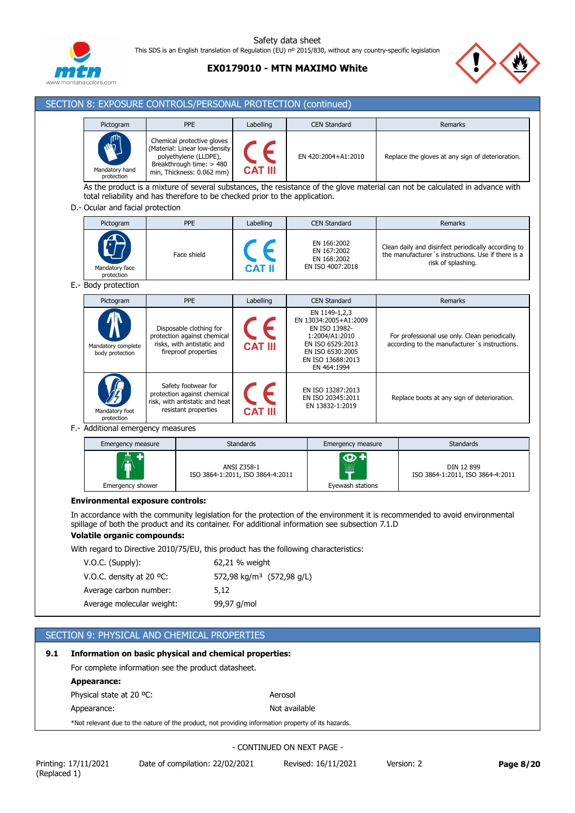

# **EX0179010 - MTN MAXIMO White**

SECTION 8: EXPOSURE CONTROLS/PERSONAL PROTECTION (continued)



| Pictogram                                                                                                                             | PPE                                                                                                                                           |             | Labelling                                       | <b>CEN Standard</b>                                                                                                                                   | Remarks                                                                                                                         |
|---------------------------------------------------------------------------------------------------------------------------------------|-----------------------------------------------------------------------------------------------------------------------------------------------|-------------|-------------------------------------------------|-------------------------------------------------------------------------------------------------------------------------------------------------------|---------------------------------------------------------------------------------------------------------------------------------|
| Mandatory hand<br>protection                                                                                                          | Chemical protective gloves<br>(Material: Linear low-density<br>polyethylene (LLDPE),<br>Breakthrough time: > 480<br>min, Thickness: 0.062 mm) |             |                                                 | EN 420:2004+A1:2010                                                                                                                                   | Replace the gloves at any sign of deterioration.                                                                                |
| D. Ocular and facial protection                                                                                                       | total reliability and has therefore to be checked prior to the application.                                                                   |             |                                                 |                                                                                                                                                       | As the product is a mixture of several substances, the resistance of the glove material can not be calculated in advance with   |
| Pictogram                                                                                                                             | PPE                                                                                                                                           |             | Labelling                                       | <b>CEN Standard</b>                                                                                                                                   | Remarks                                                                                                                         |
| Mandatory face<br>protection                                                                                                          | Face shield                                                                                                                                   |             |                                                 | EN 166:2002<br>EN 167:2002<br>EN 168:2002<br>EN ISO 4007:2018                                                                                         | Clean daily and disinfect periodically according to<br>the manufacturer's instructions. Use if there is a<br>risk of splashing. |
| E.- Body protection                                                                                                                   |                                                                                                                                               |             |                                                 |                                                                                                                                                       |                                                                                                                                 |
| Pictogram                                                                                                                             | PPE                                                                                                                                           |             | Labelling                                       | <b>CEN Standard</b>                                                                                                                                   | Remarks                                                                                                                         |
| Mandatory complete<br>body protection                                                                                                 | Disposable clothing for<br>protection against chemical<br>risks, with antistatic and<br>fireproof properties                                  |             | CAT III                                         | EN 1149-1,2,3<br>EN 13034:2005+A1:2009<br>EN ISO 13982-<br>1:2004/A1:2010<br>EN ISO 6529:2013<br>EN ISO 6530:2005<br>EN ISO 13688:2013<br>EN 464:1994 | For professional use only. Clean periodically<br>according to the manufacturer's instructions.                                  |
| Mandatory foot<br>protection                                                                                                          | Safety footwear for<br>protection against chemical<br>risk, with antistatic and heat<br>resistant properties                                  |             |                                                 | EN ISO 13287:2013<br>EN ISO 20345:2011<br>EN 13832-1:2019                                                                                             | Replace boots at any sign of deterioration.                                                                                     |
| F. Additional emergency measures                                                                                                      |                                                                                                                                               |             |                                                 |                                                                                                                                                       |                                                                                                                                 |
| Emergency measure                                                                                                                     |                                                                                                                                               |             | <b>Standards</b>                                | Emergency measure                                                                                                                                     | <b>Standards</b>                                                                                                                |
| Emergency shower                                                                                                                      |                                                                                                                                               |             | ANSI Z358-1<br>ISO 3864-1:2011, ISO 3864-4:2011 | O<br>Eyewash stations                                                                                                                                 | DIN 12 899<br>ISO 3864-1:2011, ISO 3864-4:2011                                                                                  |
| <b>Environmental exposure controls:</b>                                                                                               |                                                                                                                                               |             |                                                 |                                                                                                                                                       | In accordance with the community legislation for the protection of the environment it is recommended to avoid environmental     |
| spillage of both the product and its container. For additional information see subsection 7.1.D<br><b>Volatile organic compounds:</b> |                                                                                                                                               |             |                                                 |                                                                                                                                                       |                                                                                                                                 |
| With regard to Directive 2010/75/EU, this product has the following characteristics:                                                  |                                                                                                                                               |             |                                                 |                                                                                                                                                       |                                                                                                                                 |
| V.O.C. (Supply):                                                                                                                      |                                                                                                                                               |             | 62,21 % weight                                  |                                                                                                                                                       |                                                                                                                                 |
| V.O.C. density at 20 $^{\circ}$ C:                                                                                                    |                                                                                                                                               |             | 572,98 kg/m <sup>3</sup> (572,98 g/L)           |                                                                                                                                                       |                                                                                                                                 |
| Average carbon number:                                                                                                                |                                                                                                                                               | 5,12        |                                                 |                                                                                                                                                       |                                                                                                                                 |
| Average molecular weight:                                                                                                             |                                                                                                                                               | 99,97 g/mol |                                                 |                                                                                                                                                       |                                                                                                                                 |

# SECTION 9: PHYSICAL AND CHEMICAL PROPERTIES

# **9.1 Information on basic physical and chemical properties:** For complete information see the product datasheet. **Appearance:** Physical state at 20 °C: Aerosol Appearance: Not available \*Not relevant due to the nature of the product, not providing information property of its hazards.

- CONTINUED ON NEXT PAGE -

(Replaced 1)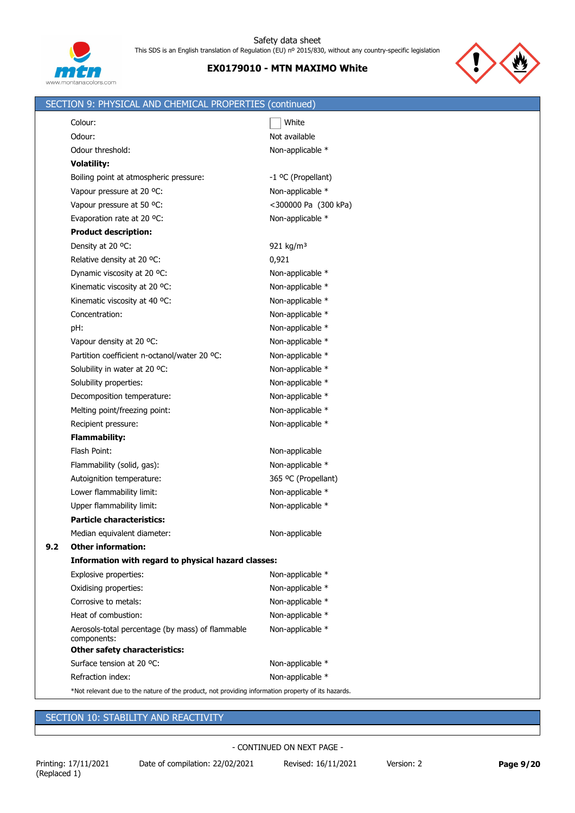



|     | SECTION 9: PHYSICAL AND CHEMICAL PROPERTIES (continued)                                            |                       |
|-----|----------------------------------------------------------------------------------------------------|-----------------------|
|     | Colour:                                                                                            | White                 |
|     | Odour:                                                                                             | Not available         |
|     | Odour threshold:                                                                                   | Non-applicable *      |
|     | <b>Volatility:</b>                                                                                 |                       |
|     | Boiling point at atmospheric pressure:                                                             | -1 °C (Propellant)    |
|     | Vapour pressure at 20 °C:                                                                          | Non-applicable *      |
|     | Vapour pressure at 50 °C:                                                                          | <300000 Pa (300 kPa)  |
|     | Evaporation rate at 20 °C:                                                                         | Non-applicable *      |
|     | <b>Product description:</b>                                                                        |                       |
|     | Density at 20 °C:                                                                                  | 921 kg/m <sup>3</sup> |
|     | Relative density at 20 °C:                                                                         | 0,921                 |
|     | Dynamic viscosity at 20 °C:                                                                        | Non-applicable *      |
|     | Kinematic viscosity at 20 °C:                                                                      | Non-applicable *      |
|     | Kinematic viscosity at 40 °C:                                                                      | Non-applicable *      |
|     | Concentration:                                                                                     | Non-applicable *      |
|     | pH:                                                                                                | Non-applicable *      |
|     | Vapour density at 20 °C:                                                                           | Non-applicable *      |
|     | Partition coefficient n-octanol/water 20 °C:                                                       | Non-applicable *      |
|     | Solubility in water at 20 °C:                                                                      | Non-applicable *      |
|     | Solubility properties:                                                                             | Non-applicable *      |
|     | Decomposition temperature:                                                                         | Non-applicable *      |
|     | Melting point/freezing point:                                                                      | Non-applicable *      |
|     | Recipient pressure:                                                                                | Non-applicable *      |
|     | <b>Flammability:</b>                                                                               |                       |
|     | Flash Point:                                                                                       | Non-applicable        |
|     | Flammability (solid, gas):                                                                         | Non-applicable *      |
|     | Autoignition temperature:                                                                          | 365 °C (Propellant)   |
|     | Lower flammability limit:                                                                          | Non-applicable *      |
|     | Upper flammability limit:                                                                          | Non-applicable *      |
|     | <b>Particle characteristics:</b>                                                                   |                       |
|     | Median equivalent diameter:                                                                        | Non-applicable        |
| 9.2 | <b>Other information:</b>                                                                          |                       |
|     | Information with regard to physical hazard classes:                                                |                       |
|     | Explosive properties:                                                                              | Non-applicable *      |
|     | Oxidising properties:                                                                              | Non-applicable *      |
|     | Corrosive to metals:                                                                               | Non-applicable *      |
|     | Heat of combustion:                                                                                | Non-applicable *      |
|     | Aerosols-total percentage (by mass) of flammable<br>components:                                    | Non-applicable *      |
|     | <b>Other safety characteristics:</b>                                                               |                       |
|     | Surface tension at 20 °C:                                                                          | Non-applicable *      |
|     | Refraction index:                                                                                  | Non-applicable *      |
|     | *Not relevant due to the nature of the product, not providing information property of its hazards. |                       |

# SECTION 10: STABILITY AND REACTIVITY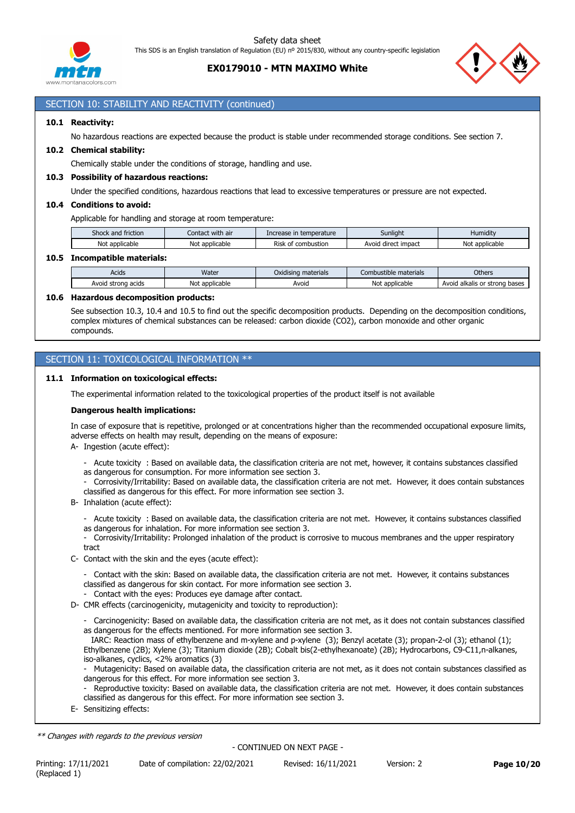

# **EX0179010 - MTN MAXIMO White**



# SECTION 10: STABILITY AND REACTIVITY (continued)

#### **10.1 Reactivity:**

No hazardous reactions are expected because the product is stable under recommended storage conditions. See section 7.

#### **10.2 Chemical stability:**

Chemically stable under the conditions of storage, handling and use.

#### **10.3 Possibility of hazardous reactions:**

Under the specified conditions, hazardous reactions that lead to excessive temperatures or pressure are not expected.

#### **10.4 Conditions to avoid:**

Applicable for handling and storage at room temperature:

| Shock<br>friction<br>and | <br>with air<br>Contact | temperature<br>Increase<br>ease III | Sunlight                              | Humidit<br>numuu           |
|--------------------------|-------------------------|-------------------------------------|---------------------------------------|----------------------------|
| Not<br>: applicable      | Νοι<br>: applicable     | -<br>Ris<br>combustion<br>nt        | impact<br>Avoi <sup>2</sup><br>direct | . .<br>Not<br>: applicable |
|                          |                         |                                     |                                       |                            |

#### **10.5 Incompatible materials:**

| Acids                 | Water             | $\cdots$<br>materials<br>Oxidisina | Combustible i<br>: materials | Others                                        |
|-----------------------|-------------------|------------------------------------|------------------------------|-----------------------------------------------|
| Avoid<br>strong acids | applicable<br>Not | Avoid                              | Not<br>applicable            | Avoid<br>bases<br>alkalis<br>strono<br>$\sim$ |

#### **10.6 Hazardous decomposition products:**

See subsection 10.3, 10.4 and 10.5 to find out the specific decomposition products. Depending on the decomposition conditions, complex mixtures of chemical substances can be released: carbon dioxide (CO2), carbon monoxide and other organic compounds.

### SECTION 11: TOXICOLOGICAL INFORMATION \*\*

#### **11.1 Information on toxicological effects:**

The experimental information related to the toxicological properties of the product itself is not available

#### **Dangerous health implications:**

In case of exposure that is repetitive, prolonged or at concentrations higher than the recommended occupational exposure limits, adverse effects on health may result, depending on the means of exposure:

- A- Ingestion (acute effect):
	- Acute toxicity : Based on available data, the classification criteria are not met, however, it contains substances classified as dangerous for consumption. For more information see section 3.
	- Corrosivity/Irritability: Based on available data, the classification criteria are not met. However, it does contain substances classified as dangerous for this effect. For more information see section 3.
- B- Inhalation (acute effect):
	- Acute toxicity : Based on available data, the classification criteria are not met. However, it contains substances classified
	- as dangerous for inhalation. For more information see section 3.
	- Corrosivity/Irritability: Prolonged inhalation of the product is corrosive to mucous membranes and the upper respiratory tract
- C- Contact with the skin and the eyes (acute effect):
	- Contact with the skin: Based on available data, the classification criteria are not met. However, it contains substances classified as dangerous for skin contact. For more information see section 3.
	- Contact with the eyes: Produces eye damage after contact.
- D- CMR effects (carcinogenicity, mutagenicity and toxicity to reproduction):
	- Carcinogenicity: Based on available data, the classification criteria are not met, as it does not contain substances classified as dangerous for the effects mentioned. For more information see section 3.

 IARC: Reaction mass of ethylbenzene and m-xylene and p-xylene (3); Benzyl acetate (3); propan-2-ol (3); ethanol (1); Ethylbenzene (2B); Xylene (3); Titanium dioxide (2B); Cobalt bis(2-ethylhexanoate) (2B); Hydrocarbons, C9-C11,n-alkanes, iso-alkanes, cyclics, <2% aromatics (3)

- Mutagenicity: Based on available data, the classification criteria are not met, as it does not contain substances classified as dangerous for this effect. For more information see section 3.

- Reproductive toxicity: Based on available data, the classification criteria are not met. However, it does contain substances classified as dangerous for this effect. For more information see section 3.
- E- Sensitizing effects:

*\*\* Changes with regards to the previous version*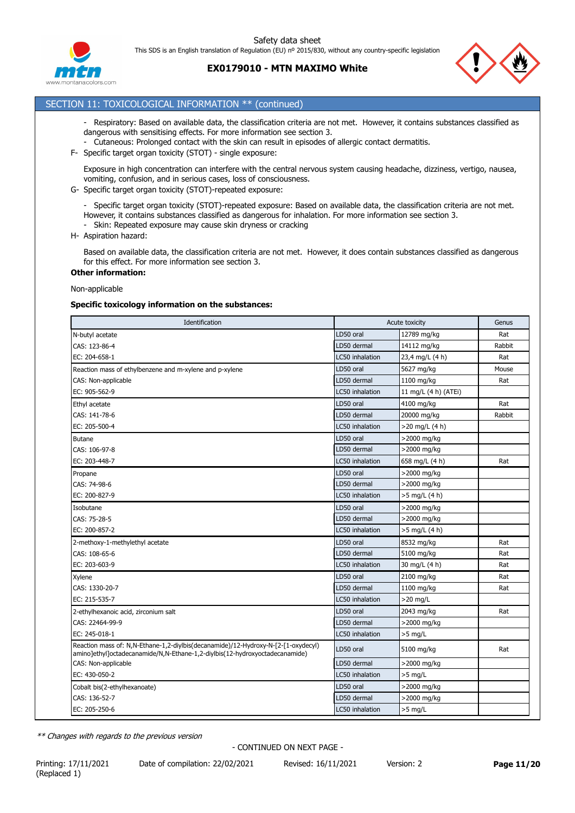





# **EX0179010 - MTN MAXIMO White**

### SECTION 11: TOXICOLOGICAL INFORMATION \*\* (continued)

- Respiratory: Based on available data, the classification criteria are not met. However, it contains substances classified as dangerous with sensitising effects. For more information see section 3.
- Cutaneous: Prolonged contact with the skin can result in episodes of allergic contact dermatitis.
- F- Specific target organ toxicity (STOT) single exposure:

Exposure in high concentration can interfere with the central nervous system causing headache, dizziness, vertigo, nausea, vomiting, confusion, and in serious cases, loss of consciousness.

- G- Specific target organ toxicity (STOT)-repeated exposure:
	- Specific target organ toxicity (STOT)-repeated exposure: Based on available data, the classification criteria are not met. However, it contains substances classified as dangerous for inhalation. For more information see section 3.
	- Skin: Repeated exposure may cause skin dryness or cracking
- H- Aspiration hazard:

Based on available data, the classification criteria are not met. However, it does contain substances classified as dangerous for this effect. For more information see section 3.

#### **Other information:**

#### Non-applicable

#### **Specific toxicology information on the substances:**

| Identification                                                                                                                                                   |                 | Acute toxicity       | Genus  |  |
|------------------------------------------------------------------------------------------------------------------------------------------------------------------|-----------------|----------------------|--------|--|
| N-butyl acetate                                                                                                                                                  | LD50 oral       | 12789 mg/kg          | Rat    |  |
| CAS: 123-86-4                                                                                                                                                    | LD50 dermal     | 14112 mg/kg          | Rabbit |  |
| EC: 204-658-1                                                                                                                                                    | LC50 inhalation | 23,4 mg/L (4 h)      | Rat    |  |
| Reaction mass of ethylbenzene and m-xylene and p-xylene                                                                                                          | LD50 oral       | 5627 mg/kg           | Mouse  |  |
| CAS: Non-applicable                                                                                                                                              | LD50 dermal     | 1100 mg/kg           | Rat    |  |
| EC: 905-562-9                                                                                                                                                    | LC50 inhalation | 11 mg/L (4 h) (ATEi) |        |  |
| Ethyl acetate                                                                                                                                                    | LD50 oral       | 4100 mg/kg           | Rat    |  |
| CAS: 141-78-6                                                                                                                                                    | LD50 dermal     | 20000 mg/kg          | Rabbit |  |
| EC: 205-500-4                                                                                                                                                    | LC50 inhalation | $>20$ mg/L (4 h)     |        |  |
| <b>Butane</b>                                                                                                                                                    | LD50 oral       | >2000 mg/kg          |        |  |
| CAS: 106-97-8                                                                                                                                                    | LD50 dermal     | >2000 mg/kg          |        |  |
| EC: 203-448-7                                                                                                                                                    | LC50 inhalation | 658 mg/L (4 h)       | Rat    |  |
| Propane                                                                                                                                                          | LD50 oral       | >2000 mg/kg          |        |  |
| CAS: 74-98-6                                                                                                                                                     | LD50 dermal     | >2000 mg/kg          |        |  |
| EC: 200-827-9                                                                                                                                                    | LC50 inhalation | $>5$ mg/L (4 h)      |        |  |
| Isobutane                                                                                                                                                        | LD50 oral       | >2000 mg/kg          |        |  |
| CAS: 75-28-5                                                                                                                                                     | LD50 dermal     | >2000 mg/kg          |        |  |
| EC: 200-857-2                                                                                                                                                    | LC50 inhalation | >5 mg/L (4 h)        |        |  |
| 2-methoxy-1-methylethyl acetate                                                                                                                                  | LD50 oral       | 8532 mg/kg           | Rat    |  |
| CAS: 108-65-6                                                                                                                                                    | LD50 dermal     | 5100 mg/kg           | Rat    |  |
| EC: 203-603-9                                                                                                                                                    | LC50 inhalation | 30 mg/L (4 h)        | Rat    |  |
| Xylene                                                                                                                                                           | LD50 oral       | 2100 mg/kg           | Rat    |  |
| CAS: 1330-20-7                                                                                                                                                   | LD50 dermal     | 1100 mg/kg           | Rat    |  |
| EC: 215-535-7                                                                                                                                                    | LC50 inhalation | $>20$ mg/L           |        |  |
| 2-ethylhexanoic acid, zirconium salt                                                                                                                             | LD50 oral       | 2043 mg/kg           | Rat    |  |
| CAS: 22464-99-9                                                                                                                                                  | LD50 dermal     | >2000 mg/kg          |        |  |
| EC: 245-018-1                                                                                                                                                    | LC50 inhalation | $>5$ mg/L            |        |  |
| Reaction mass of: N,N-Ethane-1,2-diylbis(decanamide)/12-Hydroxy-N-[2-[1-oxydecyl)<br>amino]ethyl]octadecanamide/N,N-Ethane-1,2-diylbis(12-hydroxyoctadecanamide) | LD50 oral       | 5100 mg/kg           | Rat    |  |
| CAS: Non-applicable                                                                                                                                              | LD50 dermal     | >2000 mg/kg          |        |  |
| EC: 430-050-2                                                                                                                                                    | LC50 inhalation | $>5$ mg/L            |        |  |
| Cobalt bis(2-ethylhexanoate)                                                                                                                                     | LD50 oral       | >2000 mg/kg          |        |  |
| CAS: 136-52-7                                                                                                                                                    | LD50 dermal     | >2000 mg/kg          |        |  |
| EC: 205-250-6                                                                                                                                                    | LC50 inhalation | $>5$ mg/L            |        |  |

*\*\* Changes with regards to the previous version*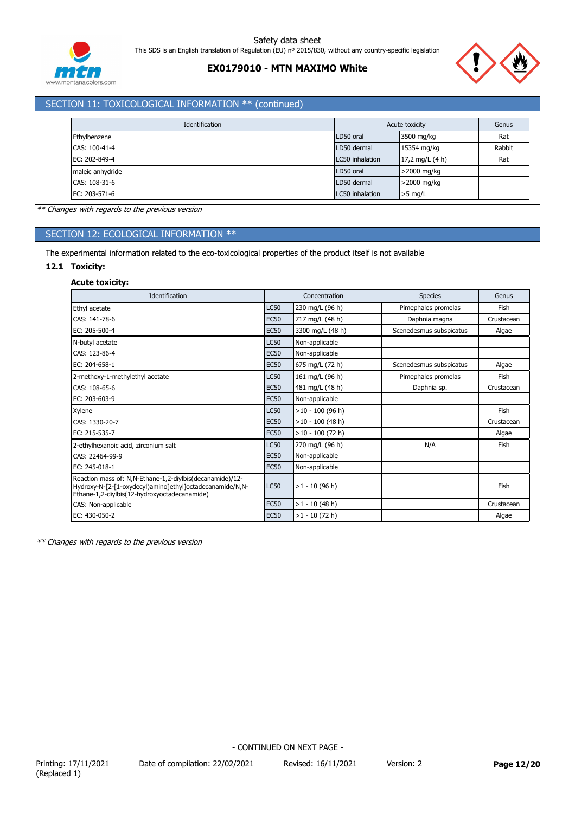

# **EX0179010 - MTN MAXIMO White**



# SECTION 11: TOXICOLOGICAL INFORMATION \*\* (continued)

| Identification   |                 | Acute toxicity    | Genus  |
|------------------|-----------------|-------------------|--------|
| Ethylbenzene     | LD50 oral       | 3500 mg/kg        | Rat    |
| CAS: 100-41-4    | LD50 dermal     | 15354 mg/kg       | Rabbit |
| EC: 202-849-4    | LC50 inhalation | 17,2 mg/L $(4 h)$ | Rat    |
| maleic anhydride | LD50 oral       | >2000 mg/kg       |        |
| CAS: 108-31-6    | LD50 dermal     | >2000 mg/kg       |        |
| EC: 203-571-6    | LC50 inhalation | $>5$ mg/L         |        |

*\*\* Changes with regards to the previous version*

# SECTION 12: ECOLOGICAL INFORMATION \*\*

The experimental information related to the eco-toxicological properties of the product itself is not available

#### **12.1 Toxicity:**

#### **Acute toxicity:**

| Identification                                                                                                                                                       |             | Concentration      | <b>Species</b>          | Genus      |
|----------------------------------------------------------------------------------------------------------------------------------------------------------------------|-------------|--------------------|-------------------------|------------|
| Ethyl acetate                                                                                                                                                        | <b>LC50</b> | 230 mg/L (96 h)    | Pimephales promelas     | Fish       |
| CAS: 141-78-6                                                                                                                                                        | <b>EC50</b> | 717 mg/L (48 h)    | Daphnia magna           | Crustacean |
| EC: 205-500-4                                                                                                                                                        | <b>EC50</b> | 3300 mg/L (48 h)   | Scenedesmus subspicatus | Algae      |
| N-butyl acetate                                                                                                                                                      | <b>LC50</b> | Non-applicable     |                         |            |
| CAS: 123-86-4                                                                                                                                                        | <b>EC50</b> | Non-applicable     |                         |            |
| EC: 204-658-1                                                                                                                                                        | <b>EC50</b> | 675 mg/L (72 h)    | Scenedesmus subspicatus | Algae      |
| 2-methoxy-1-methylethyl acetate                                                                                                                                      | <b>LC50</b> | 161 mg/L (96 h)    | Pimephales promelas     | Fish       |
| CAS: 108-65-6                                                                                                                                                        | <b>EC50</b> | 481 mg/L (48 h)    | Daphnia sp.             | Crustacean |
| EC: 203-603-9                                                                                                                                                        | <b>EC50</b> | Non-applicable     |                         |            |
| Xylene                                                                                                                                                               | <b>LC50</b> | $>10 - 100$ (96 h) |                         | Fish       |
| CAS: 1330-20-7                                                                                                                                                       | <b>EC50</b> | $>10 - 100$ (48 h) |                         | Crustacean |
| EC: 215-535-7                                                                                                                                                        | <b>EC50</b> | $>10 - 100$ (72 h) |                         | Algae      |
| 2-ethylhexanoic acid, zirconium salt                                                                                                                                 | <b>LC50</b> | 270 mg/L (96 h)    | N/A                     | Fish       |
| CAS: 22464-99-9                                                                                                                                                      | <b>EC50</b> | Non-applicable     |                         |            |
| EC: 245-018-1                                                                                                                                                        | <b>EC50</b> | Non-applicable     |                         |            |
| Reaction mass of: N,N-Ethane-1,2-diylbis(decanamide)/12-<br>Hydroxy-N-[2-[1-oxydecyl)amino]ethyl]octadecanamide/N,N-<br>Ethane-1,2-diylbis(12-hydroxyoctadecanamide) | <b>LC50</b> | $>1 - 10$ (96 h)   |                         | Fish       |
| CAS: Non-applicable                                                                                                                                                  | <b>EC50</b> | $>1 - 10$ (48 h)   |                         | Crustacean |
| EC: 430-050-2                                                                                                                                                        | <b>EC50</b> | $>1 - 10$ (72 h)   |                         | Algae      |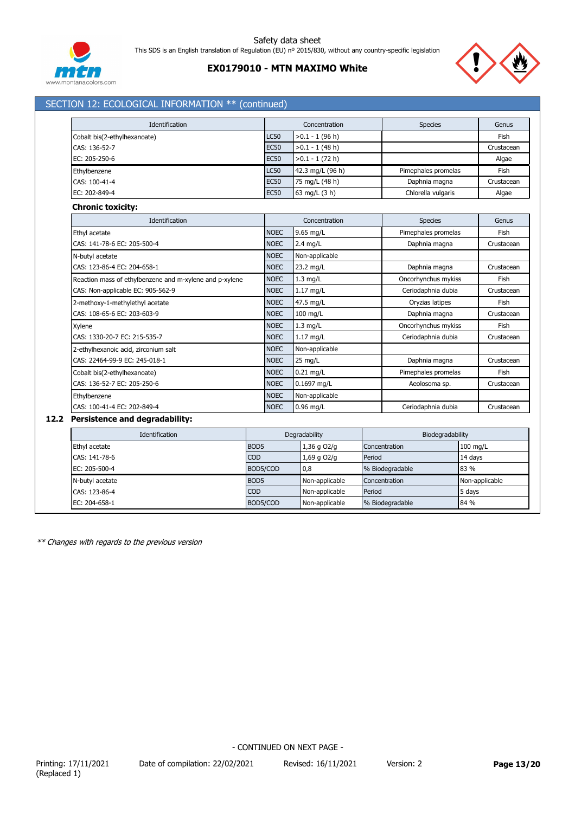

# **EX0179010 - MTN MAXIMO White**



| Identification                                                                                                |                  |             | Concentration                     |               | <b>Species</b>      |            | Genus          |
|---------------------------------------------------------------------------------------------------------------|------------------|-------------|-----------------------------------|---------------|---------------------|------------|----------------|
| Cobalt bis(2-ethylhexanoate)                                                                                  | <b>LC50</b>      |             | >0.1 - 1 (96 h)                   |               |                     |            | Fish           |
| CAS: 136-52-7                                                                                                 | <b>EC50</b>      |             | $>0.1 - 1$ (48 h)                 |               |                     |            | Crustacean     |
| EC: 205-250-6                                                                                                 | <b>EC50</b>      |             | $>0.1 - 1(72 h)$                  |               |                     |            | Algae          |
| Ethylbenzene                                                                                                  | <b>LC50</b>      |             | 42.3 mg/L (96 h)                  |               | Pimephales promelas |            | Fish           |
| CAS: 100-41-4                                                                                                 | <b>EC50</b>      |             | 75 mg/L (48 h)                    |               | Daphnia magna       |            | Crustacean     |
| EC: 202-849-4                                                                                                 | <b>EC50</b>      |             | 63 mg/L (3 h)                     |               | Chlorella vulgaris  |            | Algae          |
| <b>Chronic toxicity:</b>                                                                                      |                  |             |                                   |               |                     |            |                |
| Identification                                                                                                |                  |             | Concentration                     |               | <b>Species</b>      |            | Genus          |
| Ethyl acetate                                                                                                 | <b>NOEC</b>      |             | 9.65 mg/L                         |               | Pimephales promelas |            | Fish           |
| CAS: 141-78-6 EC: 205-500-4                                                                                   |                  | <b>NOEC</b> | $2.4$ mg/L                        |               | Daphnia magna       |            | Crustacean     |
| N-butyl acetate                                                                                               |                  | <b>NOEC</b> | Non-applicable                    |               |                     |            |                |
| CAS: 123-86-4 EC: 204-658-1                                                                                   | <b>NOEC</b>      |             | 23.2 mg/L                         |               | Daphnia magna       |            | Crustacean     |
| Reaction mass of ethylbenzene and m-xylene and p-xylene                                                       |                  | <b>NOEC</b> | $1.3$ mg/L                        |               | Oncorhynchus mykiss |            | Fish           |
| CAS: Non-applicable EC: 905-562-9<br>2-methoxy-1-methylethyl acetate<br>CAS: 108-65-6 EC: 203-603-9<br>Xylene |                  | <b>NOEC</b> | $1.17$ mg/L                       |               | Ceriodaphnia dubia  |            | Crustacean     |
|                                                                                                               |                  | <b>NOEC</b> | 47.5 mg/L                         |               | Oryzias latipes     |            | <b>Fish</b>    |
|                                                                                                               |                  | <b>NOEC</b> | 100 mg/L                          |               | Daphnia magna       |            | Crustacean     |
|                                                                                                               |                  | <b>NOEC</b> | $1.3$ mg/L                        |               | Oncorhynchus mykiss |            | Fish           |
| CAS: 1330-20-7 EC: 215-535-7                                                                                  | <b>NOEC</b>      |             | $1.17$ mg/L                       |               | Ceriodaphnia dubia  |            | Crustacean     |
| 2-ethylhexanoic acid, zirconium salt                                                                          | <b>NOEC</b>      |             | Non-applicable                    |               |                     |            |                |
| CAS: 22464-99-9 EC: 245-018-1                                                                                 | <b>NOEC</b>      |             | 25 mg/L                           | Daphnia magna |                     | Crustacean |                |
| Cobalt bis(2-ethylhexanoate)                                                                                  | <b>NOEC</b>      |             | $0.21$ mg/L                       |               | Pimephales promelas |            | Fish           |
| CAS: 136-52-7 EC: 205-250-6                                                                                   | <b>NOEC</b>      |             | 0.1697 mg/L                       |               | Aeolosoma sp.       |            | Crustacean     |
| Ethylbenzene                                                                                                  | <b>NOEC</b>      |             | Non-applicable                    |               |                     |            |                |
| CAS: 100-41-4 EC: 202-849-4                                                                                   | <b>NOEC</b>      |             | $0.96$ mg/L                       |               | Ceriodaphnia dubia  |            | Crustacean     |
| 12.2 Persistence and degradability:                                                                           |                  |             |                                   |               |                     |            |                |
| Identification                                                                                                |                  |             | Degradability                     |               | Biodegradability    |            |                |
| Ethyl acetate                                                                                                 | BOD <sub>5</sub> |             | 1,36 g O2/g                       | Concentration |                     | 100 mg/L   |                |
| CAS: 141-78-6                                                                                                 | COD              |             | 1,69 g O2/g                       | Period        |                     | 14 days    |                |
| EC: 205-500-4                                                                                                 | BOD5/COD         |             | 0,8                               |               | % Biodegradable     | 83 %       |                |
| N-butyl acetate                                                                                               | BOD <sub>5</sub> |             | Non-applicable                    | Concentration |                     |            | Non-applicable |
| CAS: 123-86-4                                                                                                 | <b>COD</b>       |             | Non-applicable                    | Period        |                     | 5 days     |                |
| EC: 204-658-1                                                                                                 | BOD5/COD         |             | Non-applicable<br>% Biodegradable |               | 84 %                |            |                |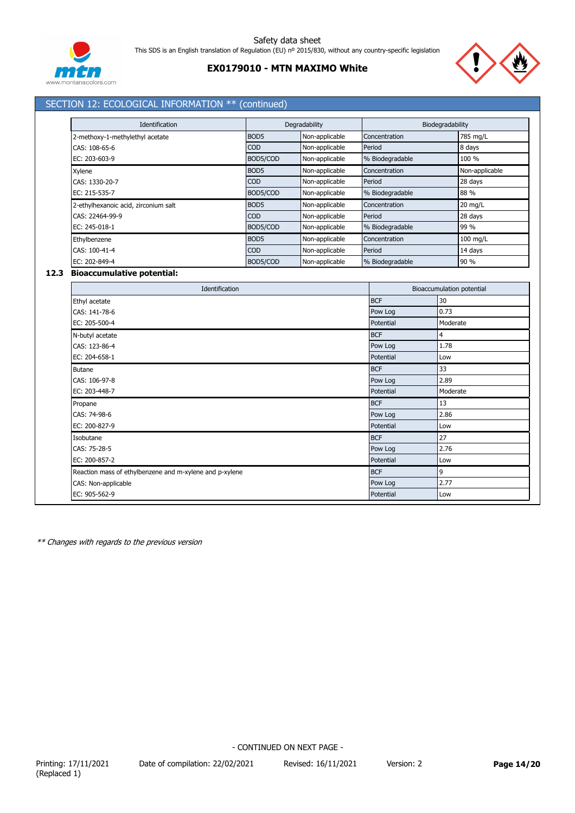

# **EX0179010 - MTN MAXIMO White**



# SECTION 12: ECOLOGICAL INFORMATION \*\* (continued)

| Identification                       |                  | Degradability  |                 | Biodegradability |
|--------------------------------------|------------------|----------------|-----------------|------------------|
| 2-methoxy-1-methylethyl acetate      | BOD <sub>5</sub> | Non-applicable | Concentration   | 785 mg/L         |
| CAS: 108-65-6                        | <b>COD</b>       | Non-applicable | Period          | 8 days           |
| EC: 203-603-9                        | BOD5/COD         | Non-applicable | % Biodegradable | 100 %            |
| Xylene                               | BOD <sub>5</sub> | Non-applicable | Concentration   | Non-applicable   |
| CAS: 1330-20-7                       | <b>COD</b>       | Non-applicable | Period          | 28 days          |
| EC: 215-535-7                        | BOD5/COD         | Non-applicable | % Biodegradable | 88 %             |
| 2-ethylhexanoic acid, zirconium salt | BOD <sub>5</sub> | Non-applicable | Concentration   | $20$ mg/L        |
| CAS: 22464-99-9                      | <b>COD</b>       | Non-applicable | Period          | 28 days          |
| EC: 245-018-1                        | BOD5/COD         | Non-applicable | % Biodegradable | 99 %             |
| Ethylbenzene                         | BOD <sub>5</sub> | Non-applicable | Concentration   | 100 mg/L         |
| CAS: 100-41-4                        | <b>COD</b>       | Non-applicable | Period          | 14 days          |
| EC: 202-849-4                        | BOD5/COD         | Non-applicable | % Biodegradable | 90 %             |

### **12.3 Bioaccumulative potential:**

| Identification                                          |            | Bioaccumulation potential |  |  |  |
|---------------------------------------------------------|------------|---------------------------|--|--|--|
| Ethyl acetate                                           | <b>BCF</b> | 30                        |  |  |  |
| CAS: 141-78-6                                           | Pow Log    | 0.73                      |  |  |  |
| EC: 205-500-4                                           | Potential  | Moderate                  |  |  |  |
| N-butyl acetate                                         | <b>BCF</b> | 4                         |  |  |  |
| CAS: 123-86-4                                           | Pow Log    | 1.78                      |  |  |  |
| EC: 204-658-1                                           | Potential  | Low                       |  |  |  |
| <b>Butane</b>                                           | <b>BCF</b> | 33                        |  |  |  |
| CAS: 106-97-8                                           | Pow Log    | 2.89                      |  |  |  |
| EC: 203-448-7                                           | Potential  | Moderate                  |  |  |  |
| Propane                                                 | <b>BCF</b> | 13                        |  |  |  |
| CAS: 74-98-6                                            | Pow Log    | 2.86                      |  |  |  |
| EC: 200-827-9                                           | Potential  | Low                       |  |  |  |
| Isobutane                                               | <b>BCF</b> | 27                        |  |  |  |
| CAS: 75-28-5                                            | Pow Log    | 2.76                      |  |  |  |
| EC: 200-857-2                                           | Potential  | Low                       |  |  |  |
| Reaction mass of ethylbenzene and m-xylene and p-xylene | <b>BCF</b> | $\overline{9}$            |  |  |  |
| CAS: Non-applicable                                     | Pow Log    | 2.77                      |  |  |  |
| EC: 905-562-9                                           | Potential  | Low                       |  |  |  |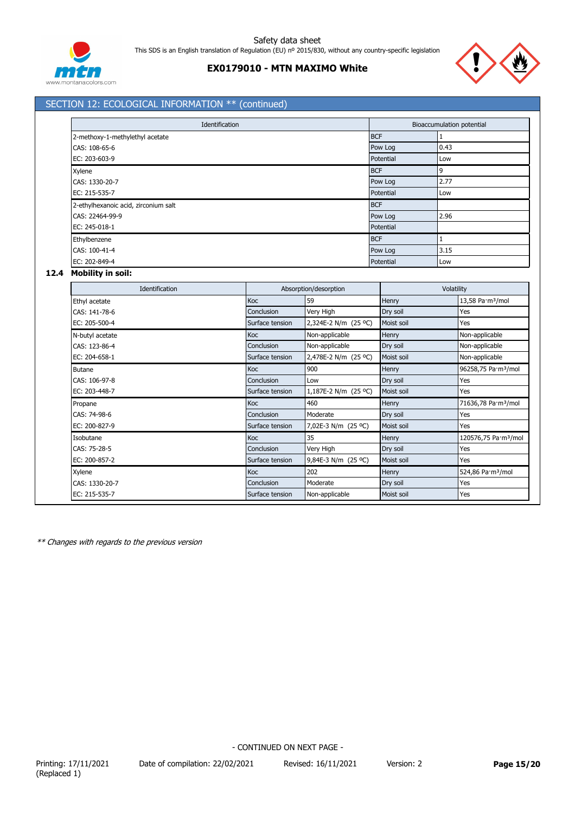



# SECTION 12: ECOLOGICAL INFORMATION \*\* (continued)

| Identification                       |            | Bioaccumulation potential |      |  |
|--------------------------------------|------------|---------------------------|------|--|
| 2-methoxy-1-methylethyl acetate      | <b>BCF</b> |                           |      |  |
| CAS: 108-65-6                        | Pow Log    |                           | 0.43 |  |
| EC: 203-603-9                        | Potential  |                           | Low  |  |
| Xylene                               | <b>BCF</b> |                           | 9    |  |
| CAS: 1330-20-7                       | Pow Log    |                           | 2.77 |  |
| EC: 215-535-7                        | Potential  |                           | Low  |  |
| 2-ethylhexanoic acid, zirconium salt | <b>BCF</b> |                           |      |  |
| CAS: 22464-99-9                      | Pow Log    |                           | 2.96 |  |
| EC: 245-018-1                        | Potential  |                           |      |  |
| Ethylbenzene                         | <b>BCF</b> |                           |      |  |
| CAS: 100-41-4                        | Pow Log    |                           | 3.15 |  |
| EC: 202-849-4                        | Potential  |                           | Low  |  |

#### **12.4 Mobility in soil:**

| Identification  |                 | Absorption/desorption |            | Volatility                       |  |  |
|-----------------|-----------------|-----------------------|------------|----------------------------------|--|--|
| Ethyl acetate   | <b>Koc</b>      | 59                    | Henry      | 13,58 Pa·m <sup>3</sup> /mol     |  |  |
| CAS: 141-78-6   | Conclusion      | Very High             | Dry soil   | Yes                              |  |  |
| EC: 205-500-4   | Surface tension | 2,324E-2 N/m (25 °C)  | Moist soil | Yes                              |  |  |
| N-butyl acetate | Koc             | Non-applicable        | Henry      | Non-applicable                   |  |  |
| CAS: 123-86-4   | Conclusion      | Non-applicable        | Dry soil   | Non-applicable                   |  |  |
| EC: 204-658-1   | Surface tension | 2,478E-2 N/m (25 °C)  | Moist soil | Non-applicable                   |  |  |
| <b>Butane</b>   | Koc             | 900                   | Henry      | 96258,75 Pa·m <sup>3</sup> /mol  |  |  |
| CAS: 106-97-8   | Conclusion      | Low                   | Dry soil   | Yes                              |  |  |
| EC: 203-448-7   | Surface tension | 1,187E-2 N/m (25 °C)  | Moist soil | Yes                              |  |  |
| Propane         | Koc             | 460                   | Henry      | 71636,78 Pa·m <sup>3</sup> /mol  |  |  |
| CAS: 74-98-6    | Conclusion      | Moderate              | Dry soil   | Yes                              |  |  |
| EC: 200-827-9   | Surface tension | 7,02E-3 N/m (25 °C)   | Moist soil | Yes                              |  |  |
| Isobutane       | <b>Koc</b>      | 35                    | Henry      | 120576,75 Pa·m <sup>3</sup> /mol |  |  |
| CAS: 75-28-5    | Conclusion      | Very High             | Dry soil   | Yes                              |  |  |
| EC: 200-857-2   | Surface tension | 9,84E-3 N/m (25 °C)   | Moist soil | Yes                              |  |  |
| Xylene          | Koc             | 202                   | Henry      | 524,86 Pa·m <sup>3</sup> /mol    |  |  |
| CAS: 1330-20-7  | Conclusion      | Moderate              | Dry soil   | Yes                              |  |  |
| EC: 215-535-7   | Surface tension | Non-applicable        | Moist soil | Yes                              |  |  |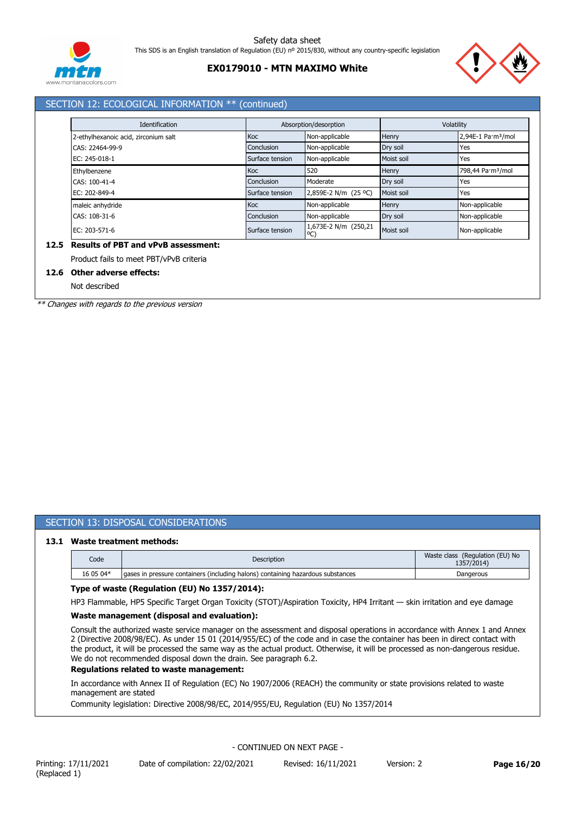

# **EX0179010 - MTN MAXIMO White**



# SECTION 12: ECOLOGICAL INFORMATION \*\* (continued)

| Identification                       | Absorption/desorption |                            | Volatility |                                |
|--------------------------------------|-----------------------|----------------------------|------------|--------------------------------|
| 2-ethylhexanoic acid, zirconium salt | <b>Koc</b>            | Non-applicable             | Henry      | 2,94E-1 Pa·m <sup>3</sup> /mol |
| CAS: 22464-99-9                      | Conclusion            | Non-applicable             | Dry soil   | Yes                            |
| EC: 245-018-1                        | Surface tension       | Non-applicable             | Moist soil | Yes                            |
| Ethylbenzene                         | <b>Koc</b>            | 520                        | Henry      | 798,44 Pa·m <sup>3</sup> /mol  |
| CAS: 100-41-4                        | Conclusion            | Moderate                   | Dry soil   | Yes                            |
| EC: 202-849-4                        | Surface tension       | 2,859E-2 N/m (25 °C)       | Moist soil | Yes                            |
| maleic anhydride                     | <b>Koc</b>            | Non-applicable             | Henry      | Non-applicable                 |
| CAS: 108-31-6                        | Conclusion            | Non-applicable             | Dry soil   | Non-applicable                 |
| EC: 203-571-6                        | Surface tension       | 1,673E-2 N/m (250,21<br>°C | Moist soil | Non-applicable                 |

# Product fails to meet PBT/vPvB criteria

# **12.6 Other adverse effects:**

Not described

*\*\* Changes with regards to the previous version*

#### SECTION 13: DISPOSAL CONSIDERATIONS

#### **13.1 Waste treatment methods:**

| Code      | Description                                                                      | Waste class (Regulation (EU) No<br>1357/2014 |
|-----------|----------------------------------------------------------------------------------|----------------------------------------------|
| 16 05 04* | Laases in pressure containers (including halons) containing hazardous substances | Dangerous                                    |

#### **Type of waste (Regulation (EU) No 1357/2014):**

HP3 Flammable, HP5 Specific Target Organ Toxicity (STOT)/Aspiration Toxicity, HP4 Irritant — skin irritation and eye damage

#### **Waste management (disposal and evaluation):**

Consult the authorized waste service manager on the assessment and disposal operations in accordance with Annex 1 and Annex 2 (Directive 2008/98/EC). As under 15 01 (2014/955/EC) of the code and in case the container has been in direct contact with the product, it will be processed the same way as the actual product. Otherwise, it will be processed as non-dangerous residue. We do not recommended disposal down the drain. See paragraph 6.2.

#### **Regulations related to waste management:**

In accordance with Annex II of Regulation (EC) No 1907/2006 (REACH) the community or state provisions related to waste management are stated

Community legislation: Directive 2008/98/EC, 2014/955/EU, Regulation (EU) No 1357/2014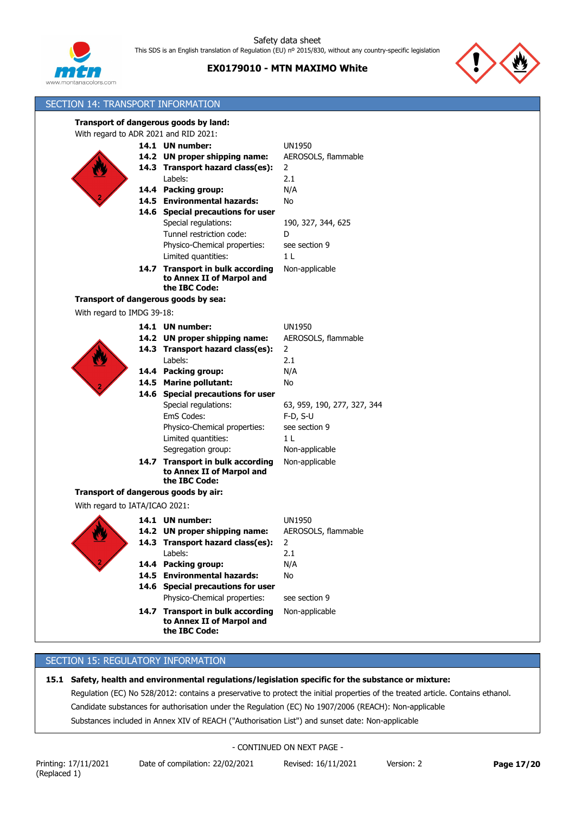





| SECTION 14: TRANSPORT INFORMATION     |                                            |                             |
|---------------------------------------|--------------------------------------------|-----------------------------|
|                                       | Transport of dangerous goods by land:      |                             |
| With regard to ADR 2021 and RID 2021: |                                            |                             |
|                                       | 14.1 UN number:                            | <b>UN1950</b>               |
|                                       | 14.2 UN proper shipping name:              | AEROSOLS, flammable         |
|                                       | 14.3 Transport hazard class(es):           | $\overline{2}$              |
|                                       | Labels:                                    | 2.1                         |
|                                       | 14.4 Packing group:                        | N/A                         |
|                                       | 14.5 Environmental hazards:                | No                          |
|                                       | 14.6 Special precautions for user          |                             |
|                                       | Special regulations:                       | 190, 327, 344, 625          |
|                                       | Tunnel restriction code:                   | D                           |
|                                       | Physico-Chemical properties:               | see section 9               |
|                                       | Limited quantities:                        | 1 <sub>L</sub>              |
|                                       | 14.7 Transport in bulk according           | Non-applicable              |
|                                       | to Annex II of Marpol and                  |                             |
|                                       | the IBC Code:                              |                             |
| Transport of dangerous goods by sea:  |                                            |                             |
| With regard to IMDG 39-18:            |                                            |                             |
|                                       | 14.1 UN number:                            | <b>UN1950</b>               |
|                                       | 14.2 UN proper shipping name:              | AEROSOLS, flammable         |
|                                       | 14.3 Transport hazard class(es):           | 2                           |
|                                       | Labels:                                    | 2.1                         |
|                                       | 14.4 Packing group:                        | N/A                         |
|                                       | 14.5 Marine pollutant:                     | No                          |
|                                       | 14.6 Special precautions for user          |                             |
|                                       | Special regulations:                       | 63, 959, 190, 277, 327, 344 |
|                                       | EmS Codes:                                 | $F-D, S-U$                  |
|                                       | Physico-Chemical properties:               | see section 9               |
|                                       | Limited quantities:                        | 1 L                         |
|                                       | Segregation group:                         | Non-applicable              |
|                                       | 14.7 Transport in bulk according           | Non-applicable              |
|                                       | to Annex II of Marpol and                  |                             |
|                                       | the IBC Code:                              |                             |
| Transport of dangerous goods by air:  |                                            |                             |
| With regard to IATA/ICAO 2021:        |                                            |                             |
|                                       | 14.1 UN number:                            | <b>UN1950</b>               |
|                                       | 14.2 UN proper shipping name:              | AEROSOLS, flammable         |
|                                       | 14.3 Transport hazard class(es):           | 2                           |
|                                       | Labels:                                    | 2.1                         |
|                                       | 14.4 Packing group:                        | N/A                         |
|                                       | 14.5 Environmental hazards:                | No                          |
|                                       | 14.6 Special precautions for user          |                             |
|                                       | Physico-Chemical properties:               | see section 9               |
|                                       | 14.7 Transport in bulk according           | Non-applicable              |
|                                       | to Annex II of Marpol and<br>the IBC Code: |                             |

# SECTION 15: REGULATORY INFORMATION

# **15.1 Safety, health and environmental regulations/legislation specific for the substance or mixture:**

Regulation (EC) No 528/2012: contains a preservative to protect the initial properties of the treated article. Contains ethanol. Candidate substances for authorisation under the Regulation (EC) No 1907/2006 (REACH): Non-applicable Substances included in Annex XIV of REACH ("Authorisation List") and sunset date: Non-applicable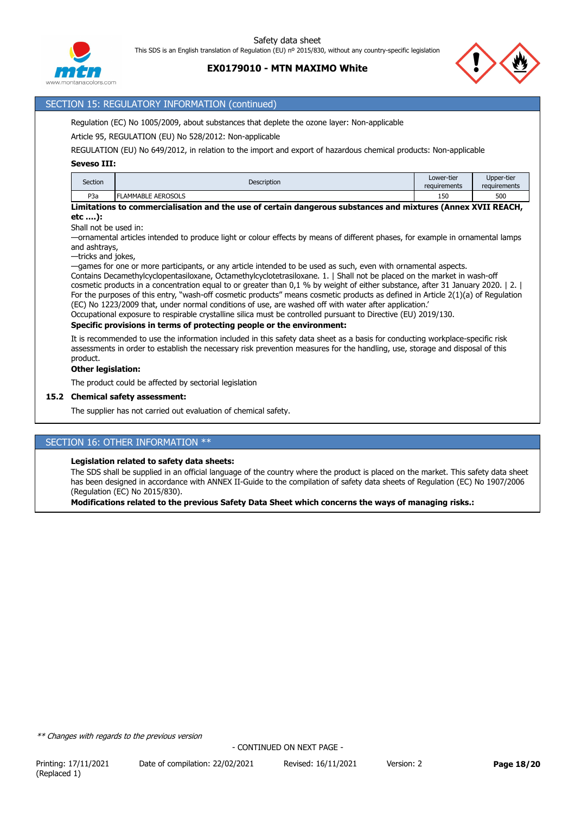

# **EX0179010 - MTN MAXIMO White**

### SECTION 15: REGULATORY INFORMATION (continued)

Regulation (EC) No 1005/2009, about substances that deplete the ozone layer: Non-applicable

Article 95, REGULATION (EU) No 528/2012: Non-applicable

REGULATION (EU) No 649/2012, in relation to the import and export of hazardous chemical products: Non-applicable

#### **Seveso III:**

| Section          | Description              | Lower-tier<br>requirements | Upper-tier<br>requirements |
|------------------|--------------------------|----------------------------|----------------------------|
| P <sub>3</sub> a | <b>LAMMABLE AEROSOLS</b> | 150<br>.                   | 500                        |

**Limitations to commercialisation and the use of certain dangerous substances and mixtures (Annex XVII REACH, etc ….):**

Shall not be used in:

—ornamental articles intended to produce light or colour effects by means of different phases, for example in ornamental lamps and ashtrays,

—tricks and jokes,

—games for one or more participants, or any article intended to be used as such, even with ornamental aspects.

Contains Decamethylcyclopentasiloxane, Octamethylcyclotetrasiloxane. 1. | Shall not be placed on the market in wash-off cosmetic products in a concentration equal to or greater than 0,1 % by weight of either substance, after 31 January 2020. | 2. | For the purposes of this entry, "wash-off cosmetic products" means cosmetic products as defined in Article 2(1)(a) of Regulation (EC) No 1223/2009 that, under normal conditions of use, are washed off with water after application.'

Occupational exposure to respirable crystalline silica must be controlled pursuant to Directive (EU) 2019/130.

### **Specific provisions in terms of protecting people or the environment:**

It is recommended to use the information included in this safety data sheet as a basis for conducting workplace-specific risk assessments in order to establish the necessary risk prevention measures for the handling, use, storage and disposal of this product.

#### **Other legislation:**

The product could be affected by sectorial legislation

#### **15.2 Chemical safety assessment:**

The supplier has not carried out evaluation of chemical safety.

### SECTION 16: OTHER INFORMATION \*\*

#### **Legislation related to safety data sheets:**

The SDS shall be supplied in an official language of the country where the product is placed on the market. This safety data sheet has been designed in accordance with ANNEX II-Guide to the compilation of safety data sheets of Regulation (EC) No 1907/2006 (Regulation (EC) No 2015/830).

**Modifications related to the previous Safety Data Sheet which concerns the ways of managing risks.:**

*\*\* Changes with regards to the previous version*

Printing: 17/11/2021 Date of compilation: 22/02/2021 Revised: 16/11/2021 Version: 2 **Page 18/20**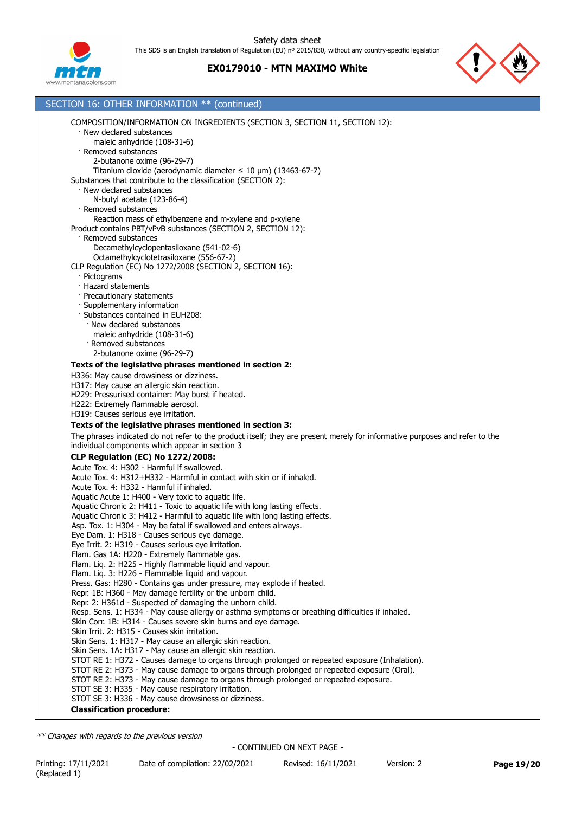



| SECTION 16: OTHER INFORMATION ** (continued) |                                                                                                                                                                    |
|----------------------------------------------|--------------------------------------------------------------------------------------------------------------------------------------------------------------------|
|                                              | COMPOSITION/INFORMATION ON INGREDIENTS (SECTION 3, SECTION 11, SECTION 12):                                                                                        |
|                                              | · New declared substances                                                                                                                                          |
|                                              | maleic anhydride (108-31-6)                                                                                                                                        |
|                                              | · Removed substances                                                                                                                                               |
|                                              | 2-butanone oxime (96-29-7)<br>Titanium dioxide (aerodynamic diameter $\leq 10$ µm) (13463-67-7)                                                                    |
|                                              | Substances that contribute to the classification (SECTION 2):                                                                                                      |
|                                              | · New declared substances                                                                                                                                          |
|                                              | N-butyl acetate (123-86-4)                                                                                                                                         |
|                                              | · Removed substances                                                                                                                                               |
|                                              | Reaction mass of ethylbenzene and m-xylene and p-xylene                                                                                                            |
|                                              | Product contains PBT/vPvB substances (SECTION 2, SECTION 12):<br>· Removed substances                                                                              |
|                                              | Decamethylcyclopentasiloxane (541-02-6)                                                                                                                            |
|                                              | Octamethylcyclotetrasiloxane (556-67-2)                                                                                                                            |
|                                              | CLP Regulation (EC) No 1272/2008 (SECTION 2, SECTION 16):                                                                                                          |
|                                              | · Pictograms                                                                                                                                                       |
|                                              | · Hazard statements                                                                                                                                                |
|                                              | · Precautionary statements<br>· Supplementary information                                                                                                          |
|                                              | · Substances contained in EUH208:                                                                                                                                  |
|                                              | · New declared substances                                                                                                                                          |
|                                              | maleic anhydride (108-31-6)                                                                                                                                        |
|                                              | · Removed substances                                                                                                                                               |
|                                              | 2-butanone oxime (96-29-7)                                                                                                                                         |
|                                              | Texts of the legislative phrases mentioned in section 2:                                                                                                           |
|                                              | H336: May cause drowsiness or dizziness.                                                                                                                           |
|                                              | H317: May cause an allergic skin reaction.<br>H229: Pressurised container: May burst if heated.                                                                    |
|                                              | H222: Extremely flammable aerosol.                                                                                                                                 |
|                                              | H319: Causes serious eye irritation.                                                                                                                               |
|                                              | Texts of the legislative phrases mentioned in section 3:                                                                                                           |
|                                              | The phrases indicated do not refer to the product itself; they are present merely for informative purposes and refer to the                                        |
|                                              | individual components which appear in section 3                                                                                                                    |
|                                              | <b>CLP Regulation (EC) No 1272/2008:</b>                                                                                                                           |
|                                              | Acute Tox. 4: H302 - Harmful if swallowed.                                                                                                                         |
|                                              | Acute Tox, 4: H312+H332 - Harmful in contact with skin or if inhaled.<br>Acute Tox. 4: H332 - Harmful if inhaled.                                                  |
|                                              | Aquatic Acute 1: H400 - Very toxic to aquatic life.                                                                                                                |
|                                              | Aquatic Chronic 2: H411 - Toxic to aquatic life with long lasting effects.                                                                                         |
|                                              | Aquatic Chronic 3: H412 - Harmful to aquatic life with long lasting effects.                                                                                       |
|                                              | Asp. Tox. 1: H304 - May be fatal if swallowed and enters airways.                                                                                                  |
|                                              | Eye Dam. 1: H318 - Causes serious eye damage.                                                                                                                      |
|                                              | Eye Irrit. 2: H319 - Causes serious eye irritation.<br>Flam. Gas 1A: H220 - Extremely flammable gas.                                                               |
|                                              | Flam. Lig. 2: H225 - Highly flammable liguid and vapour.                                                                                                           |
|                                              | Flam. Liq. 3: H226 - Flammable liquid and vapour.                                                                                                                  |
|                                              | Press. Gas: H280 - Contains gas under pressure, may explode if heated.                                                                                             |
|                                              | Repr. 1B: H360 - May damage fertility or the unborn child.                                                                                                         |
|                                              | Repr. 2: H361d - Suspected of damaging the unborn child.                                                                                                           |
|                                              | Resp. Sens. 1: H334 - May cause allergy or asthma symptoms or breathing difficulties if inhaled.<br>Skin Corr. 1B: H314 - Causes severe skin burns and eye damage. |
|                                              | Skin Irrit. 2: H315 - Causes skin irritation.                                                                                                                      |
|                                              | Skin Sens. 1: H317 - May cause an allergic skin reaction.                                                                                                          |
|                                              | Skin Sens. 1A: H317 - May cause an allergic skin reaction.                                                                                                         |
|                                              | STOT RE 1: H372 - Causes damage to organs through prolonged or repeated exposure (Inhalation).                                                                     |
|                                              | STOT RE 2: H373 - May cause damage to organs through prolonged or repeated exposure (Oral).                                                                        |
|                                              | STOT RE 2: H373 - May cause damage to organs through prolonged or repeated exposure.<br>STOT SE 3: H335 - May cause respiratory irritation.                        |
|                                              | STOT SE 3: H336 - May cause drowsiness or dizziness.                                                                                                               |
|                                              | <b>Classification procedure:</b>                                                                                                                                   |
|                                              |                                                                                                                                                                    |

*\*\* Changes with regards to the previous version*